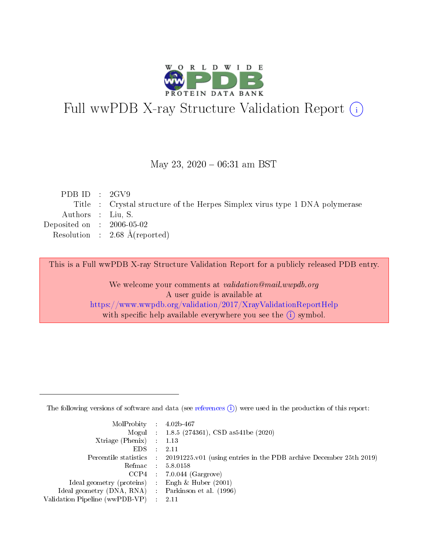

# Full wwPDB X-ray Structure Validation Report (i)

#### May 23,  $2020 - 06:31$  am BST

| PDB ID : $2\text{GV9}$      |                                                                             |
|-----------------------------|-----------------------------------------------------------------------------|
|                             | Title : Crystal structure of the Herpes Simplex virus type 1 DNA polymerase |
| Authors : Liu, S.           |                                                                             |
| Deposited on : $2006-05-02$ |                                                                             |
|                             | Resolution : $2.68 \text{ Å}$ (reported)                                    |

This is a Full wwPDB X-ray Structure Validation Report for a publicly released PDB entry.

We welcome your comments at validation@mail.wwpdb.org A user guide is available at <https://www.wwpdb.org/validation/2017/XrayValidationReportHelp> with specific help available everywhere you see the  $(i)$  symbol.

The following versions of software and data (see [references](https://www.wwpdb.org/validation/2017/XrayValidationReportHelp#references)  $(1)$ ) were used in the production of this report:

| $MolProbability$ : 4.02b-467                        |                                                                                            |
|-----------------------------------------------------|--------------------------------------------------------------------------------------------|
|                                                     | Mogul : 1.8.5 (274361), CSD as 541be (2020)                                                |
| Xtriage (Phenix) $: 1.13$                           |                                                                                            |
| EDS :                                               | -2.11                                                                                      |
|                                                     | Percentile statistics : 20191225.v01 (using entries in the PDB archive December 25th 2019) |
| Refmac 58.0158                                      |                                                                                            |
|                                                     | $CCP4$ 7.0.044 (Gargrove)                                                                  |
| Ideal geometry (proteins) : Engh $\&$ Huber (2001)  |                                                                                            |
| Ideal geometry (DNA, RNA) : Parkinson et al. (1996) |                                                                                            |
| Validation Pipeline (wwPDB-VP) : 2.11               |                                                                                            |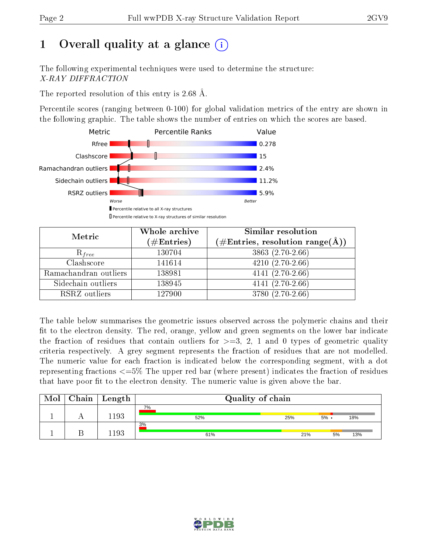# 1 [O](https://www.wwpdb.org/validation/2017/XrayValidationReportHelp#overall_quality)verall quality at a glance  $(i)$

The following experimental techniques were used to determine the structure: X-RAY DIFFRACTION

The reported resolution of this entry is 2.68 Å.

Percentile scores (ranging between 0-100) for global validation metrics of the entry are shown in the following graphic. The table shows the number of entries on which the scores are based.



| Metric                | Whole archive        | Similar resolution                                                     |
|-----------------------|----------------------|------------------------------------------------------------------------|
|                       | $(\#\text{Entries})$ | $(\#\text{Entries},\,\text{resolution}\,\,\text{range}(\textup{\AA}))$ |
| $R_{free}$            | 130704               | 3863 (2.70-2.66)                                                       |
| Clashscore            | 141614               | $4210(2.70-2.66)$                                                      |
| Ramachandran outliers | 138981               | $4141(2.70-2.66)$                                                      |
| Sidechain outliers    | 138945               | $4141 (2.70 - 2.66)$                                                   |
| RSRZ outliers         | 127900               | 3780 (2.70-2.66)                                                       |

The table below summarises the geometric issues observed across the polymeric chains and their fit to the electron density. The red, orange, yellow and green segments on the lower bar indicate the fraction of residues that contain outliers for  $>=3, 2, 1$  and 0 types of geometric quality criteria respectively. A grey segment represents the fraction of residues that are not modelled. The numeric value for each fraction is indicated below the corresponding segment, with a dot representing fractions  $\epsilon=5\%$  The upper red bar (where present) indicates the fraction of residues that have poor fit to the electron density. The numeric value is given above the bar.

| Mol | Chain | Length | Quality of chain |     |         |     |
|-----|-------|--------|------------------|-----|---------|-----|
|     |       | 1193   | 7%<br>52%        | 25% | $5\%$ . | 18% |
|     |       | 193    | 3%<br>61%        | 21% | 5%      | 13% |

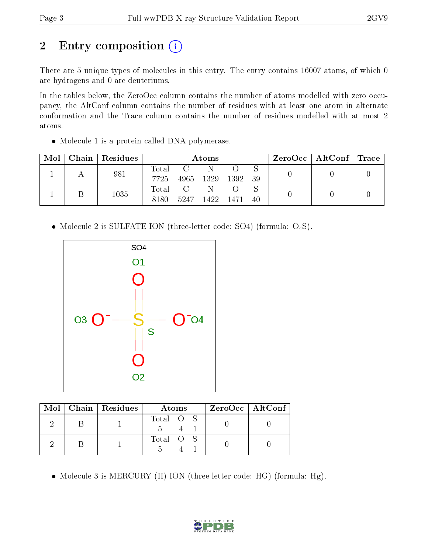# 2 Entry composition (i)

There are 5 unique types of molecules in this entry. The entry contains 16007 atoms, of which 0 are hydrogens and 0 are deuteriums.

In the tables below, the ZeroOcc column contains the number of atoms modelled with zero occupancy, the AltConf column contains the number of residues with at least one atom in alternate conformation and the Trace column contains the number of residues modelled with at most 2 atoms.

Molecule 1 is a protein called DNA polymerase.

| Mol | Chain   Residues | Atoms                                                            |  |                |      | $\text{ZeroOcc}$   AltConf   Trace |  |  |
|-----|------------------|------------------------------------------------------------------|--|----------------|------|------------------------------------|--|--|
|     | 981              | $\rm Total$<br>7725                                              |  | 4965 1329      | 1392 | - 39                               |  |  |
|     | 1035             | $\begin{array}{ccc} \text{Total} & \text{C} \end{array}$<br>8180 |  | 5247 1422 1471 |      | 40                                 |  |  |

• Molecule 2 is SULFATE ION (three-letter code: SO4) (formula:  $O_4S$ ).



|  | Mol   Chain   Residues | Atoms     | ZeroOcc   AltConf |
|--|------------------------|-----------|-------------------|
|  |                        | Total O S |                   |
|  |                        | Total O S |                   |

• Molecule 3 is MERCURY (II) ION (three-letter code: HG) (formula: Hg).

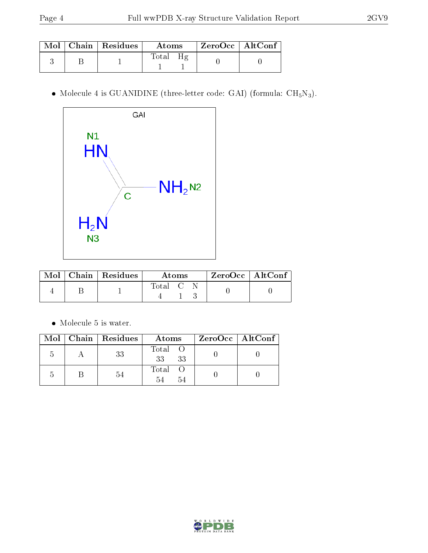|  | $\text{Mol}$   Chain   Residues | Atoms | $^\mathrm{+}$ ZeroOcc $\mathrm{~\vert}$ AltConf $\mathrm{~\vert}$ |  |
|--|---------------------------------|-------|-------------------------------------------------------------------|--|
|  |                                 | Total |                                                                   |  |

• Molecule 4 is GUANIDINE (three-letter code: GAI) (formula:  $\text{CH}_5\text{N}_3$ ).



|  | $Mol$   Chain   Residues | Atoms   |  |  | $ZeroOcc$   AltConf |  |
|--|--------------------------|---------|--|--|---------------------|--|
|  |                          | Total C |  |  |                     |  |

 $\bullet\,$  Molecule 5 is water.

|   | $Mol$   Chain   Residues<br>Atoms |                     | ZeroOcc   AltConf |
|---|-----------------------------------|---------------------|-------------------|
| h | 33                                | Total O<br>33<br>33 |                   |
|   |                                   | Total<br>54<br>54   |                   |

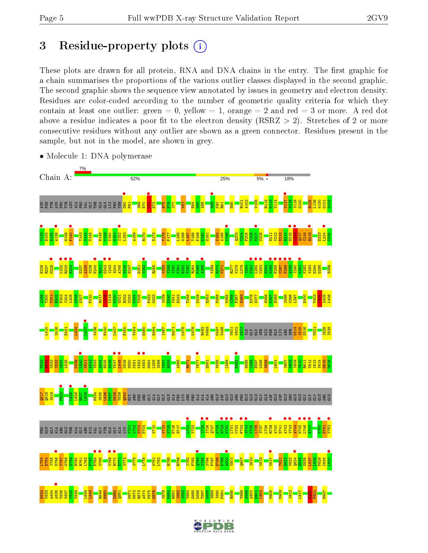# 3 Residue-property plots  $(i)$

These plots are drawn for all protein, RNA and DNA chains in the entry. The first graphic for a chain summarises the proportions of the various outlier classes displayed in the second graphic. The second graphic shows the sequence view annotated by issues in geometry and electron density. Residues are color-coded according to the number of geometric quality criteria for which they contain at least one outlier: green  $= 0$ , yellow  $= 1$ , orange  $= 2$  and red  $= 3$  or more. A red dot above a residue indicates a poor fit to the electron density (RSRZ  $> 2$ ). Stretches of 2 or more consecutive residues without any outlier are shown as a green connector. Residues present in the sample, but not in the model, are shown in grey.



• Molecule 1: DNA polymerase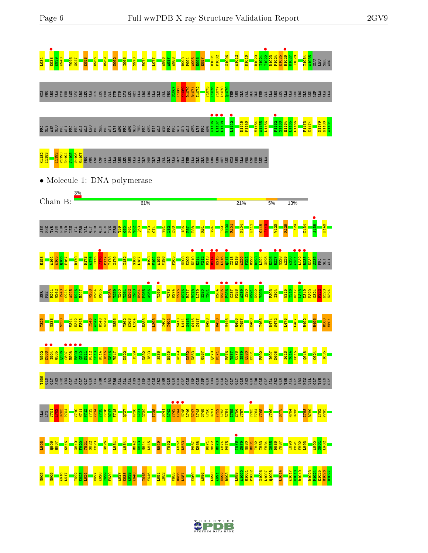

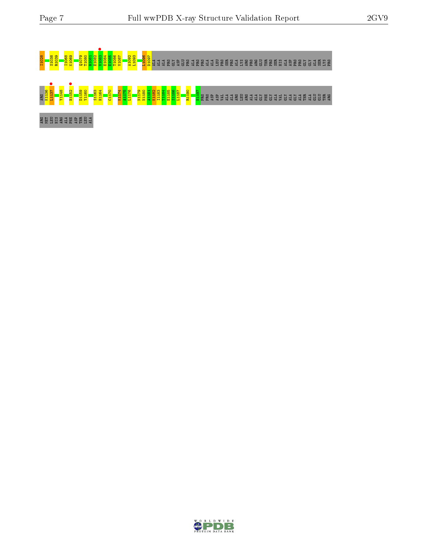

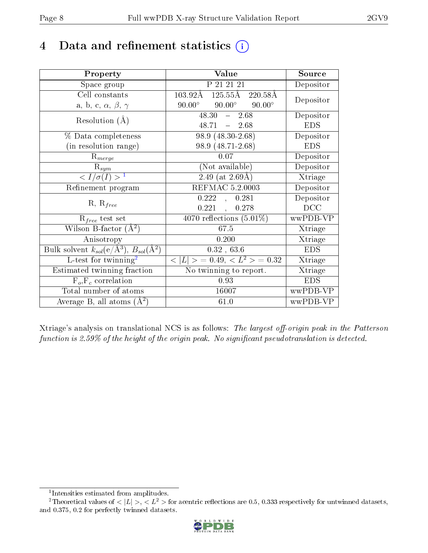# 4 Data and refinement statistics  $(i)$

| Property                                                                | Value                                               | Source     |
|-------------------------------------------------------------------------|-----------------------------------------------------|------------|
| Space group                                                             | P 21 21 21                                          | Depositor  |
| Cell constants                                                          | $125.55\text{\AA}$<br>$103.92\text{\AA}$<br>220.58Å |            |
| a, b, c, $\alpha$ , $\beta$ , $\gamma$                                  | $90.00^\circ$<br>$90.00^\circ$<br>$90.00^\circ$     | Depositor  |
| Resolution $(A)$                                                        | $48.30 - 2.68$                                      | Depositor  |
|                                                                         | 48.71<br>$-2.68$                                    | <b>EDS</b> |
| % Data completeness                                                     | 98.9 (48.30-2.68)                                   | Depositor  |
| (in resolution range)                                                   | 98.9 (48.71-2.68)                                   | <b>EDS</b> |
| $R_{merge}$                                                             | 0.07                                                | Depositor  |
| $\mathrm{R}_{sym}$                                                      | (Not available)                                     | Depositor  |
| $\langle I/\sigma(I) \rangle^{-1}$                                      | $(2.49 \text{ (at } 2.69 \text{Å}))$                | Xtriage    |
| Refinement program                                                      | <b>REFMAC 5.2.0003</b>                              | Depositor  |
|                                                                         | 0.222,<br>0.281                                     | Depositor  |
| $R, R_{free}$                                                           | 0.221,<br>0.278                                     | DCC        |
| $\mathcal{R}_{free}$ test set                                           | $\overline{4070}$ reflections $(5.01\%)$            | wwPDB-VP   |
| Wilson B-factor $(A^2)$                                                 | 67.5                                                | Xtriage    |
| Anisotropy                                                              | 0.200                                               | Xtriage    |
| Bulk solvent $k_{sol}(\mathrm{e}/\mathrm{A}^3),\,B_{sol}(\mathrm{A}^2)$ | 0.32, 63.6                                          | <b>EDS</b> |
| L-test for twinning <sup>2</sup>                                        | $< L >$ = 0.49, $< L2$ > = 0.32                     | Xtriage    |
| Estimated twinning fraction                                             | No twinning to report.                              | Xtriage    |
| $F_o, F_c$ correlation                                                  | 0.93                                                | <b>EDS</b> |
| Total number of atoms                                                   | 16007                                               | wwPDB-VP   |
| Average B, all atoms $(A^2)$                                            | 61.0                                                | wwPDB-VP   |

Xtriage's analysis on translational NCS is as follows: The largest off-origin peak in the Patterson function is 2.59% of the height of the origin peak. No significant pseudotranslation is detected.

<sup>&</sup>lt;sup>2</sup>Theoretical values of  $\langle |L| \rangle$ ,  $\langle L^2 \rangle$  for acentric reflections are 0.5, 0.333 respectively for untwinned datasets, and 0.375, 0.2 for perfectly twinned datasets.



<span id="page-7-1"></span><span id="page-7-0"></span><sup>1</sup> Intensities estimated from amplitudes.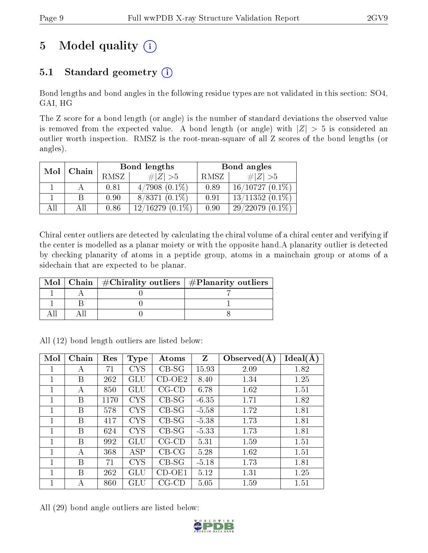# 5 Model quality  $(i)$

## 5.1 Standard geometry  $(i)$

Bond lengths and bond angles in the following residue types are not validated in this section: SO4, GAI, HG

The Z score for a bond length (or angle) is the number of standard deviations the observed value is removed from the expected value. A bond length (or angle) with  $|Z| > 5$  is considered an outlier worth inspection. RMSZ is the root-mean-square of all Z scores of the bond lengths (or angles).

| Mol | Chain |      | Bond lengths         | Bond angles |                   |  |
|-----|-------|------|----------------------|-------------|-------------------|--|
|     |       | RMSZ | # $ Z  > 5$          | RMSZ        | # $ Z  > 5$       |  |
|     |       | 0.81 | $4/7908$ $(0.1\%)$   | 0.89        | $16/10727(0.1\%)$ |  |
|     |       | 0.90 | $8/8371(0.1\%)$      | 0.91        | $13/11352(0.1\%)$ |  |
| All | All   | 0.86 | $12/16279$ $(0.1\%)$ | 0.90        | $29/22079(0.1\%)$ |  |

Chiral center outliers are detected by calculating the chiral volume of a chiral center and verifying if the center is modelled as a planar moiety or with the opposite hand.A planarity outlier is detected by checking planarity of atoms in a peptide group, atoms in a mainchain group or atoms of a sidechain that are expected to be planar.

|  | Mol   Chain   $\#\text{Chirality outliers}$   $\#\text{Planarity outliers}$ |
|--|-----------------------------------------------------------------------------|
|  |                                                                             |
|  |                                                                             |
|  |                                                                             |

|  |  | All (12) bond length outliers are listed below: |  |  |
|--|--|-------------------------------------------------|--|--|
|  |  |                                                 |  |  |

| Mol | Chain | Res  | <b>Type</b>          | Atoms       | Z       | Observed $(A)$ | Ideal(A) |
|-----|-------|------|----------------------|-------------|---------|----------------|----------|
| 1   | А     | 71   | <b>CYS</b>           | $CB-SG$     | 15.93   | 2.09           | 1.82     |
| 1   | В     | 262  | GLU                  | CD-OE2      | 8.40    | 1.34           | 1.25     |
| 1   | А     | 850  | GLU                  | $CG$ - $CD$ | 6.78    | 1.62           | 1.51     |
|     | В     | 1170 | <b>CYS</b>           | $CB-SG$     | $-6.35$ | 1.71           | 1.82     |
| 1   | Β     | 578  | <b>CYS</b>           | $CB-SG$     | $-5.58$ | 1.72           | 1.81     |
| 1   | B     | 417  | <b>CYS</b>           | $CB-SG$     | $-5.38$ | 1.73           | 1.81     |
| 1   | В     | 624  | <b>CYS</b>           | $CB-SG$     | $-5.33$ | 1.73           | 1.81     |
| 1   | В     | 992  | GLU                  | $CG$ - $CD$ | 5.31    | 1.59           | 1.51     |
| 1   | A     | 368  | <b>ASP</b>           | $CB-CG$     | 5.28    | 1.62           | 1.51     |
|     | В     | 71   | <b>CYS</b>           | $CB-SG$     | $-5.18$ | 1.73           | 1.81     |
|     | В     | 262  | $\operatorname{GLU}$ | CD-OE1      | 5.12    | 1.31           | 1.25     |
| 1   | А     | 860  | GLU                  | $CG-CD$     | 5.05    | 1.59           | 1.51     |

All (29) bond angle outliers are listed below:

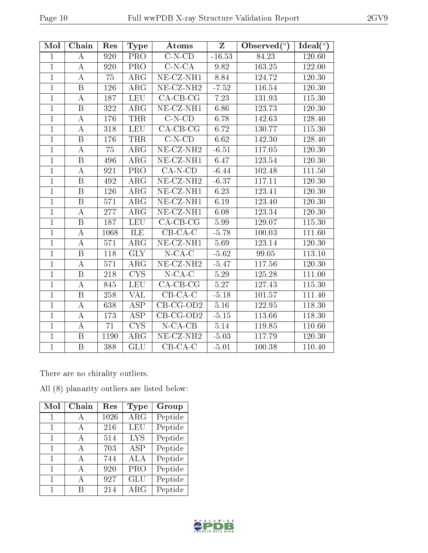| Mol            | Chain                   | Res  | <b>Type</b>             | Atoms                          | Z        | Observed $(°)$ | Ideal $(°)$ |
|----------------|-------------------------|------|-------------------------|--------------------------------|----------|----------------|-------------|
| $\mathbf{1}$   | $\bf{A}$                | 920  | PRO                     | $C-N-CD$                       | $-16.53$ | 84.23          | 120.60      |
| $\mathbf{1}$   | $\bf{A}$                | 920  | PRO                     | $C-N-CA$                       | 9.82     | 163.25         | 122.00      |
| $\mathbf{1}$   | $\bf{A}$                | 75   | $\rm{ARG}$              | $NE- CZ-NH1$                   | 8.84     | 124.72         | 120.30      |
| $\mathbf{1}$   | $\overline{B}$          | 126  | $\rm{ARG}$              | $\overline{\text{NE-CZ-NH}}2$  | $-7.52$  | 116.54         | 120.30      |
| $\mathbf{1}$   | $\boldsymbol{A}$        | 187  | <b>LEU</b>              | CA-CB-CG                       | 7.23     | 131.93         | 115.30      |
| $\mathbf{1}$   | $\overline{\mathrm{B}}$ | 322  | ARG                     | $NE$ -CZ-NH1                   | 6.86     | 123.73         | 120.30      |
| $\mathbf{1}$   | А                       | 176  | <b>THR</b>              | $C-N$ - $CD$                   | 6.78     | 142.63         | 128.40      |
| $\mathbf{1}$   | $\boldsymbol{A}$        | 318  | <b>LEU</b>              | $CA$ -CB-CG                    | 6.72     | 130.77         | 115.30      |
| $\mathbf{1}$   | $\boldsymbol{B}$        | 176  | <b>THR</b>              | $C-N$ - $CD$                   | 6.62     | 142.30         | 128.40      |
| $\mathbf{1}$   | $\bf{A}$                | 75   | ARG                     | $\overline{\text{NE- CZ-NH2}}$ | $-6.51$  | 117.05         | 120.30      |
| $\overline{1}$ | $\overline{\mathbf{B}}$ | 496  | $\overline{\text{ARG}}$ | $NE$ - $CZ$ - $NH1$            | 6.47     | 123.54         | 120.30      |
| $\mathbf{1}$   | $\bf{A}$                | 921  | PRO                     | $CA-N-CD$                      | $-6.44$  | 102.48         | 111.50      |
| $\mathbf{1}$   | $\boldsymbol{B}$        | 492  | $\rm{ARG}$              | $\overline{\text{NE- CZ-NH2}}$ | $-6.37$  | 117.11         | 120.30      |
| $\overline{1}$ | $\overline{B}$          | 126  | $\rm{ARG}$              | $\overline{\text{NE- CZ-NH1}}$ | 6.23     | 123.41         | 120.30      |
| $\mathbf{1}$   | $\boldsymbol{B}$        | 571  | $\rm{ARG}$              | NE-CZ-NH1                      | 6.19     | 123.40         | 120.30      |
| $\overline{1}$ | $\overline{\rm A}$      | 277  | $\overline{\text{ARG}}$ | $\overline{\text{NE- CZ-NH1}}$ | 6.08     | 123.34         | 120.30      |
| $\mathbf{1}$   | $\, {\bf B}$            | 187  | <b>LEU</b>              | $CA$ -CB-CG                    | 5.99     | 129.07         | 115.30      |
| $\overline{1}$ | $\boldsymbol{A}$        | 1068 | ILE                     | $CB-CA-C$                      | $-5.78$  | 100.03         | 111.60      |
| $\mathbf{1}$   | $\bf{A}$                | 571  | $\rm{ARG}$              | NE-CZ-NH1                      | 5.69     | 123.14         | 120.30      |
| $\mathbf{1}$   | $\overline{B}$          | 118  | <b>GLY</b>              | $N$ -CA-C                      | $-5.62$  | 99.05          | 113.10      |
| $\mathbf{1}$   | $\bf{A}$                | 571  | $\rm{ARG}$              | $NE$ -CZ-NH <sub>2</sub>       | $-5.47$  | 117.56         | 120.30      |
| $\mathbf{1}$   | $\mathbf B$             | 218  | <b>CYS</b>              | $\overline{\text{N}}$ -CA-C    | 5.29     | 125.28         | 111.00      |
| $\mathbf{1}$   | $\bf{A}$                | 845  | LEU                     | $CA$ -CB-CG                    | 5.27     | 127.43         | 115.30      |
| $\mathbf 1$    | $\boldsymbol{B}$        | 258  | <b>VAL</b>              | $CB-CA-C$                      | $-5.18$  | 101.57         | 111.40      |
| $\mathbf{1}$   | $\boldsymbol{A}$        | 638  | <b>ASP</b>              | $CB-CG-OD2$                    | 5.16     | 122.95         | 118.30      |
| $\mathbf{1}$   | А                       | 173  | ASP                     | $\overline{\text{CB-CG-OD2}}$  | $-5.15$  | 113.66         | 118.30      |
| $\mathbf{1}$   | $\bf{A}$                | 71   | <b>CYS</b>              | $N$ -CA-CB                     | 5.14     | 119.85         | 110.60      |
| $\mathbf{1}$   | $\, {\bf B}$            | 1190 | $\rm{ARG}$              | $NE- CZ-NH2$                   | $-5.03$  | 117.79         | 120.30      |
| $\mathbf{1}$   | $\boldsymbol{B}$        | 388  | <b>GLU</b>              | $CB-CA-C$                      | $-5.01$  | 100.38         | 110.40      |

There are no chirality outliers.

All (8) planarity outliers are listed below:

| Mol | Chain        | Res  | Type                 | Group   |
|-----|--------------|------|----------------------|---------|
| 1   | А            | 1026 | $\overline{\rm ARG}$ | Peptide |
| 1   | A            | 216  | LEU                  | Peptide |
| 1   | A            | 514  | <b>LYS</b>           | Peptide |
| 1   | A            | 703  | ASP                  | Peptide |
| 1   | A            | 744  | ALA                  | Peptide |
| 1   | $\mathbf{A}$ | 920  | PRO                  | Peptide |
| 1   | А            | 927  | GLU                  | Peptide |
| 1   | R            | 214  | ARG                  | Peptide |

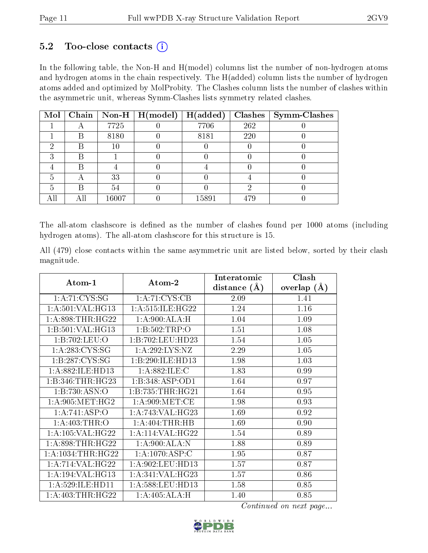### $5.2$  Too-close contacts  $(i)$

In the following table, the Non-H and H(model) columns list the number of non-hydrogen atoms and hydrogen atoms in the chain respectively. The H(added) column lists the number of hydrogen atoms added and optimized by MolProbity. The Clashes column lists the number of clashes within the asymmetric unit, whereas Symm-Clashes lists symmetry related clashes.

| Mol |    |       | Chain   Non-H   $H (model)$ | H(added) |     | $Clashes$   Symm-Clashes |
|-----|----|-------|-----------------------------|----------|-----|--------------------------|
|     |    | 7725  |                             | 7706     | 262 |                          |
|     | В  | 8180  |                             | 8181     | 220 |                          |
|     | B  | 10    |                             |          |     |                          |
| 9   | B  |       |                             |          |     |                          |
|     | B  |       |                             |          |     |                          |
|     |    | 33    |                             |          |     |                          |
|     | R  | 54    |                             |          |     |                          |
| All | АH | 16007 |                             | 15891    | 479 |                          |

The all-atom clashscore is defined as the number of clashes found per 1000 atoms (including hydrogen atoms). The all-atom clashscore for this structure is 15.

All (479) close contacts within the same asymmetric unit are listed below, sorted by their clash magnitude.

| Atom-1                | Atom-2             | Interatomic      | Clash         |
|-----------------------|--------------------|------------------|---------------|
|                       |                    | distance $(\AA)$ | overlap $(A)$ |
| 1: A:71: CYS:SG       | 1:A:71:CYS:CB      | 2.09             | 1.41          |
| 1:A:501:VAL:HG13      | 1: A:515: ILE:HG22 | 1.24             | 1.16          |
| 1: A:898:THR:HG22     | 1: A:900:ALA:H     | 1.04             | 1.09          |
| 1:B:501:VAL:HG13      | 1:B:502:TRP:O      | 1.51             | 1.08          |
| 1:B:702:LEU:O         | 1:B:702:LEU:HD23   | 1.54             | 1.05          |
| 1: A:283: CYS:SG      | 1:A:292:LYS:NZ     | 2.29             | 1.05          |
| 1: B: 287: CYS: SG    | 1:B:290:ILE:HD13   | 1.98             | 1.03          |
| 1:A:882:ILE:HD13      | 1: A:882: ILE:C    | 1.83             | 0.99          |
| 1: B: 346: THR: HG23  | 1:B:348:ASP:OD1    | 1.64             | 0.97          |
| 1:B:730:ASN:O         | 1:B:735:THR:HG21   | 1.64             | 0.95          |
| 1: A:905: MET:HG2     | 1: A:909: MET:CE   | 1.98             | 0.93          |
| 1:A:741:ASP:O         | 1:A:743:VAL:HG23   | 1.69             | 0.92          |
| 1: A:403:THR:O        | 1:A:404:THR:HB     | 1.69             | 0.90          |
| 1:A:105:VAL:HG22      | 1:A:114:VAL:HG22   | 1.54             | 0.89          |
| 1: A:898:THR:HG22     | 1: A:900:ALA:N     | 1.88             | 0.89          |
| 1: A: 1034: THR: HG22 | 1:A:1070:ASP:C     | 1.95             | 0.87          |
| 1: A:714: VAL:HG22    | 1:A:902:LEU:HD13   | 1.57             | 0.87          |
| 1:A:194:VAL:HG13      | 1: A:341: VAL:HG23 | 1.57             | 0.86          |
| 1: A:529: ILE: HD11   | 1:A:588:LEU:HD13   | 1.58             | 0.85          |
| 1: A:403:THR:HG22     | 1:A:405:ALA:H      | 1.40             | 0.85          |

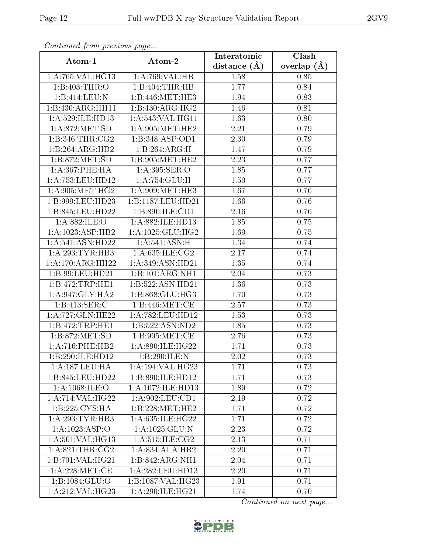| Contentaca prome providuo pago |                     | Interatomic      | Clash         |
|--------------------------------|---------------------|------------------|---------------|
| Atom-1                         | Atom-2              | distance $(\AA)$ | overlap $(A)$ |
| 1:A:765:VAL:HG13               | 1:A:769:VAL:HB      | 1.58             | 0.85          |
| 1:B:403:THR:O                  | 1:B:404:THR:HB      | 1.77             | 0.84          |
| 1:B:414:LEU:N                  | 1:B:446:MET:HE3     | 1.94             | 0.83          |
| 1:B:430:ARG:HH11               | 1:B:430:ARG:HG2     | 1.46             | 0.81          |
| 1:A:529:ILE:HD13               | 1:A:543:VAL:HG11    | 1.63             | 0.80          |
| 1: A:872:MET:SD                | 1: A:905: MET:HE2   | 2.21             | 0.79          |
| 1:B:346:THR:CG2                | 1:B:348:ASP:OD1     | 2.30             | 0.79          |
| 1:B:264:ARG:HD2                | 1:B:264:ARG:H       | 1.47             | 0.79          |
| 1:B:872:MET:SD                 | 1: B:905: MET:HE2   | 2.23             | 0.77          |
| 1:A:367:PHE:HA                 | 1: A:395: SER:O     | 1.85             | 0.77          |
| 1: A: 753: LEU: HD12           | 1:A:754:GLU:H       | 1.50             | 0.77          |
| 1: A:905:MET:HG2               | 1: A:909: MET:HE3   | 1.67             | 0.76          |
| 1:B:999:LEU:HD23               | 1:B:1187:LEU:HD21   | 1.66             | 0.76          |
| 1:B:845:LEU:HD22               | 1: B:890: ILE: CD1  | 2.16             | 0.76          |
| 1: A:882: ILE:O                | 1:A:882:ILE:HD13    | 1.85             | 0.75          |
| 1:A:1023:ASP:HB2               | 1:A:1025:GLU:HG2    | 1.69             | 0.75          |
| 1:A:541:ASN:HD22               | 1:A:541:ASN:H       | 1.34             | 0.74          |
| 1:A:293:TYR:HB3                | 1: A:635: ILE: CG2  | 2.17             | 0.74          |
| 1:A:170:ARG:HH22               | 1:A:349:ASN:HD21    | 1.35             | 0.74          |
| 1:B:99:LEU:HD21                | 1:B:101:ARG:NH1     | 2.04             | 0.73          |
| 1:B:472:TRP:HE1                | 1:B:522:ASN:HD21    | 1.36             | 0.73          |
| 1: A:947: GLY: HA2             | 1:B:868:GLU:HG3     | 1.70             | 0.73          |
| 1:B:413:SER:C                  | 1:B:446:MET:CE      | 2.57             | 0.73          |
| 1:A:727:GLN:HE22               | 1:A:782:LEU:HD12    | 1.53             | 0.73          |
| 1:B:472:TRP:HE1                | 1:B:522:ASN:ND2     | 1.85             | 0.73          |
| 1:B:872:MET:SD                 | 1: B:905:MET:CE     | 2.76             | 0.73          |
| 1: A:716:PHE:HB2               | 1: A:890: ILE: HG22 | 1.71             | 0.73          |
| 1:B:290:ILE:HD12               | 1:B:290:ILE:N       | 2.02             | 0.73          |
| 1: A: 187: LEU: HA             | 1:A:194:VAL:HG23    | 1.71             | 0.73          |
| 1:B:845:LEU:HD22               | 1:B:890:ILE:HD12    | 1.71             | 0.73          |
| 1: A: 1068: ILE: O             | 1:A:1072:ILE:HD13   | 1.89             | 0.72          |
| 1:A:714:VAL:HG22               | 1: A:902:LEU:CD1    | 2.19             | 0.72          |
| 1:B:225:CYS:HA                 | 1:B:228:MET:HE2     | 1.71             | 0.72          |
| 1:A:293:TYR:HB3                | 1:A:635:ILE:HG22    | 1.71             | 0.72          |
| 1:A:1023:ASP:O                 | 1:A:1025:GLU:N      | 2.23             | 0.72          |
| 1:A:501:VAL:HG13               | 1:A:515:ILE:CG2     | 2.13             | 0.71          |
| 1: A:821:THR:CG2               | 1:A:834:ALA:HB2     | 2.20             | 0.71          |
| 1:B:701:VAL:HG21               | 1:B:842:ARG:NH1     | 2.04             | 0.71          |
| 1: A:228: MET:CE               | 1:A:282:LEU:HD13    | 2.20             | 0.71          |
| 1:B:1084:GLU:O                 | 1:B:1087:VAL:HG23   | 1.91             | 0.71          |
| 1:A:212:VAL:HG23               | 1: A:290: ILE: HG21 | 1.74             | 0.70          |

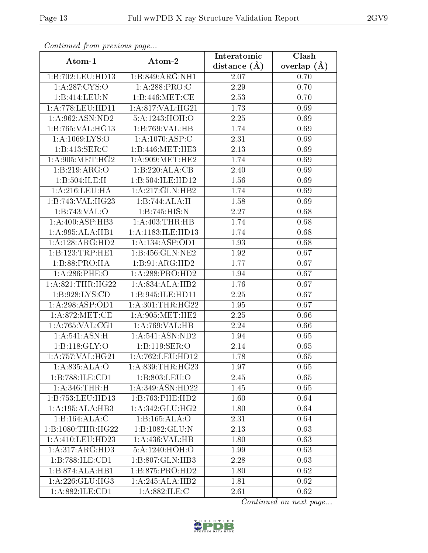| Continuata from previous page |                               | Interatomic       | Clash           |
|-------------------------------|-------------------------------|-------------------|-----------------|
| Atom-1                        | Atom-2                        | distance (Å)      | overlap $(\AA)$ |
| 1:B:702:LEU:HD13              | 1:B:849:ARG:NH1               | 2.07              | 0.70            |
| 1:A:287:CYS:O                 | 1:A:288:PRO:C                 | 2.29              | 0.70            |
| 1:B:414:LEU:N                 | 1:B:446:MET:CE                | 2.53              | 0.70            |
| 1: A: 778: LEU: HD11          | 1: A:817: VAL:HG21            | 1.73              | 0.69            |
| 1:A:962:ASN:ND2               | 5:A:1243:HOH:O                | 2.25              | 0.69            |
| 1:B:765:VAL:HG13              | 1:B:769:VAL:HB                | 1.74              | 0.69            |
| 1: A:1069:LYS:O               | 1:A:1070:ASP:C                | 2.31              | 0.69            |
| 1: B: 413: SER: C             | 1:B:446:MET:HE3               | 2.13              | 0.69            |
| 1: A:905: MET:HG2             | 1: A:909:MET:HE2              | 1.74              | 0.69            |
| 1:B:219:ARG:O                 | 1:B:220:ALA:CB                | 2.40              | 0.69            |
| 1:B:504:ILE:H                 | 1:B:504:ILE:HD12              | 1.56              | 0.69            |
| 1: A:216:LEU:HA               | 1:A:217:GLN:HB2               | 1.74              | 0.69            |
| 1:B:743:VAL:HG23              | 1:B:744:ALA:H                 | 1.58              | 0.69            |
| 1:B:743:VAL:O                 | 1:B:745:HIS:N                 | 2.27              | 0.68            |
| 1:A:400:ASP:HB3               | 1:A:403:THR:HB                | 1.74              | 0.68            |
| 1:A:995:ALA:HB1               | 1:A:1183:ILE:H <sub>D13</sub> | 1.74              | 0.68            |
| 1:A:128:ARG:HD2               | 1:A:134:ASP:OD1               | 1.93              | 0.68            |
| 1:B:123:TRP:HE1               | 1:B:456:GLN:NE2               | 1.92              | 0.67            |
| 1:B:88:PRO:HA                 | 1:B:91:ARG:HD2                | 1.77              | 0.67            |
| $1: A:286:$ PHE:O             | 1: A:288: PRO:HD2             | 1.94              | 0.67            |
| 1: A:821:THR:HG22             | 1:A:834:ALA:HB2               | 1.76              | 0.67            |
| 1: B:928: LYS:CD              | 1:B:945:ILE:HD11              | 2.25              | 0.67            |
| 1:A:298:ASP:OD1               | 1: A:301:THR:HG22             | 1.95              | 0.67            |
| 1: A:872:MET:CE               | 1: A:905: MET:HE2             | $\overline{2.25}$ | 0.66            |
| 1:A:765:VAL:CG1               | 1:A:769:VAL:HB                | 2.24              | 0.66            |
| 1: A:541: ASN:H               | 1:A:541:ASN:ND2               | 1.94              | 0.65            |
| 1: B: 118: GLY: O             | 1:B:119:SER:O                 | 2.14              | 0.65            |
| 1:A:757:VAL:HG21              | 1:A:762:LEU:HD12              | 1.78              | 0.65            |
| 1:A:835:ALA:O                 | 1:A:839:THR:HG23              | 1.97              | 0.65            |
| 1:B:788:ILE:CD1               | 1:B:803:LEU:O                 | 2.45              | 0.65            |
| 1: A:346:THR:H                | 1:A:349:ASN:HD22              | 1.45              | 0.65            |
| 1:B:753:LEU:HD13              | 1:B:763:PHE:HD2               | 1.60              | 0.64            |
| 1:A:195:ALA:HB3               | 1: A:342: GLU: HG2            | 1.80              | 0.64            |
| $1:B:164:\overline{ALA:C}$    | 1:B:165:ALA:O                 | 2.31              | 0.64            |
| 1:B:1080:THR:H <sub>G22</sub> | 1:B:1082:GLU:N                | 2.13              | 0.63            |
| 1: A: 410: LEU: HD23          | 1:A:436:VAL:HB                | 1.80              | 0.63            |
| 1: A: 317: ARG: HD3           | 5:A:1240:HOH:O                | 1.99              | 0.63            |
| 1:B:788:ILE:CD1               | 1:B:807:GLN:HB3               | 2.28              | 0.63            |
| 1:B:874:ALA:HB1               | 1:B:875:PRO:HD2               | 1.80              | 0.62            |
| 1: A:226: GLU:HG3             | 1:A:245:ALA:HB2               | 1.81              | 0.62            |
| 1: A:882: ILE: CD1            | 1: A:882: ILE:C               | 2.61              | 0.62            |

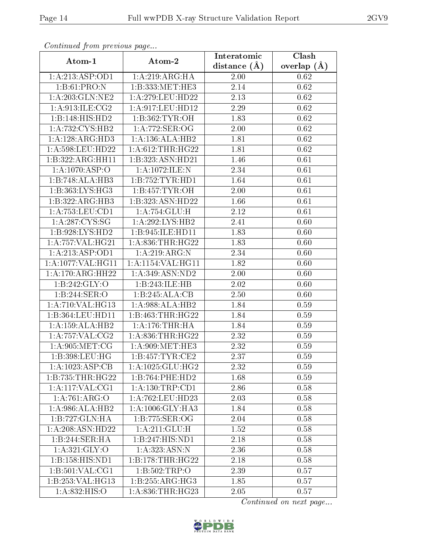| Contentaca prome providuo pago       |                                          | Interatomic      | Clash             |
|--------------------------------------|------------------------------------------|------------------|-------------------|
| Atom-1                               | Atom-2                                   | distance $(\AA)$ | overlap $(A)$     |
| 1:A:213:ASP:OD1                      | 1:A:219:ARG:HA                           | 2.00             | 0.62              |
| 1: B:61: PRO: N                      | 1:B:333:MET:HE3                          | 2.14             | 0.62              |
| 1:A:203:GLN:NE2                      | 1:A:279:LEU:HD22                         | 2.13             | 0.62              |
| 1: A:913: ILE: CG2                   | 1:A:917:LEU:HD12                         | 2.29             | 0.62              |
| 1:B:148:HIS:HD2                      | 1:B:362:TYR:OH                           | 1.83             | 0.62              |
| 1: A: 732: CYS: HB2                  | 1:A:772:SER:OG                           | 2.00             | 0.62              |
| 1:A:128:ARG:HD3                      | 1:A:136:ALA:HB2                          | 1.81             | $\overline{0.62}$ |
| 1:A:598:LEU:HD22                     | 1: A:612:THR:HG22                        | 1.81             | 0.62              |
| 1:B:322:ARG:HH11                     | 1:B:323:ASN:HD21                         | 1.46             | 0.61              |
| 1:A:1070:ASP:O                       | 1:A:1072:ILE:N                           | 2.34             | 0.61              |
| 1:B:748:ALA:HB3                      | 1:B:752:TYR:HDI                          | 1.64             | 0.61              |
| 1:B:363:LYS:HG3                      | 1:B:457:TYR:OH                           | 2.00             | 0.61              |
| 1:B:322:ARG:HB3                      | 1:B:323:ASN:HD22                         | 1.66             | 0.61              |
| 1: A: 753: LEU: CD1                  | 1:A:754:GLU:H                            | 2.12             | 0.61              |
| $1: A:287: \overline{\text{CYS:SG}}$ | 1:A:292:LYS:HB2                          | 2.41             | 0.60              |
| 1:B:928:LYS:HD2                      | 1:B:945:ILE:HD11                         | 1.83             | 0.60              |
| 1:A:757:VAL:HG21                     | 1: A:836:THR:HG22                        | 1.83             | 0.60              |
| 1:A:213:ASP:OD1                      | 1: A:219: ARG: N                         | 2.34             | 0.60              |
| 1:A:1077:VAL:HG11                    | 1: A:1154: VAL:HGI1                      | 1.82             | 0.60              |
| 1: A:170: ARG: HH22                  | 1: A:349: ASN:ND2                        | 2.00             | 0.60              |
| 1:B:242:GLY:O                        | 1:B:243:ILE:HB                           | 2.02             | 0.60              |
| 1:B:244:SER:O                        | 1:B:245:ALA:CB                           | 2.50             | 0.60              |
| 1:A:710:VAL:HG13                     | 1:A:988:ALA:HB2                          | 1.84             | 0.59              |
| 1:B:364:LEU:HD11                     | 1:B:463:THR:HG22                         | 1.84             | 0.59              |
| 1:A:159:ALA:HB2                      | 1: A:176:THR:HA                          | 1.84             | 0.59              |
| 1: A:757: VAL: CG2                   | 1:A:836:THR:HG22                         | 2.32             | 0.59              |
| 1: A:905: MET:CG                     | 1: A:909: MET:HE3                        | 2.32             | 0.59              |
| 1:B:398:LEU:HG                       | 1:B:457:TYR:CE2                          | 2.37             | 0.59              |
| 1:A:1023:ASP:CB                      | $1:$ A:1025:GLU: $\overline{\text{HG2}}$ | 2.32             | 0.59              |
| 1:B:735:THR:HG22                     | 1:B:764:PHE:HD2                          | 1.68             | 0.59              |
| 1:A:117:VAL:CG1                      | 1: A: 130: TRP: CD1                      | 2.86             | 0.58              |
| 1:A:761:ARG:O                        | 1:A:762:LEU:HD23                         | 2.03             | 0.58              |
| 1:A:986:ALA:HB2                      | 1:A:1006:GLY:HA3                         | 1.84             | 0.58              |
| 1:B:727:GLN:HA                       | 1:B:775:SER:OG                           | 2.04             | 0.58              |
| 1:A:208:ASN:HD22                     | 1:A:211:GLU:H                            | 1.52             | 0.58              |
| 1:B:244:SER:HA                       | 1:B:247:HIS:ND1                          | 2.18             | 0.58              |
| 1: A:321: GLY:O                      | 1:A:323:ASN:N                            | 2.36             | 0.58              |
| 1:B:158:HIS:ND1                      | 1:B:178:THR:HG22                         | 2.18             | 0.58              |
| 1: B: 501: VAL: CG1                  | 1:B:502:TRP:O                            | 2.39             | 0.57              |
| 1:B:253:VAL:HG13                     | 1:B:255:ARG:HG3                          | 1.85             | 0.57              |
| 1: A:832: HIS:O                      | 1: A:836:THR:HG23                        | 2.05             | 0.57              |

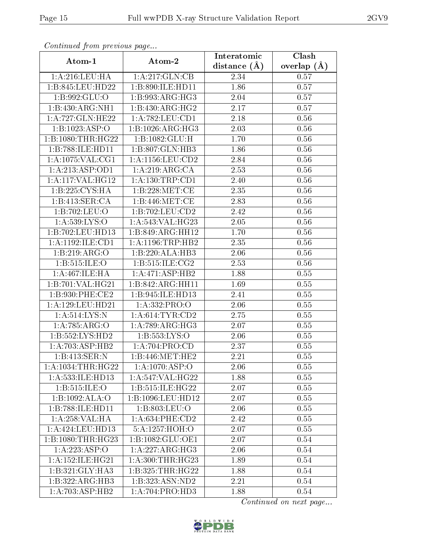| Continuation providus page   |                      | Interatomic      | Clash         |
|------------------------------|----------------------|------------------|---------------|
| Atom-1                       | Atom-2               | distance $(\AA)$ | overlap $(A)$ |
| 1:A:216:LEU:HA               | 1:A:217:GLN:CB       | 2.34             | 0.57          |
| 1:B:845:LEU:HD22             | 1:B:890:ILE:HD11     | 1.86             | 0.57          |
| 1:B:992:GLU:O                | 1:B:993:ARG:HG3      | 2.04             | 0.57          |
| $1:B:430:ARG:\overline{NH1}$ | 1:B:430:ARG:HG2      | 2.17             | 0.57          |
| 1:A:727:GLN:HE22             | 1:A:782:LEU:CD1      | 2.18             | 0.56          |
| 1:B:1023:ASP:O               | 1:B:1026:ARG:HG3     | 2.03             | 0.56          |
| 1:B:1080:THR:HG22            | 1:B:1082:GLU:H       | 1.70             | 0.56          |
| 1:B:788:ILE:HD11             | 1:B:807:GLN:HB3      | 1.86             | 0.56          |
| 1:A:1075:VAL:CG1             | 1:A:1156:LEU:CD2     | 2.84             | 0.56          |
| 1:A:213:ASP:OD1              | 1:A:219:ARG:CA       | 2.53             | 0.56          |
| 1:A:117:VAL:HG12             | 1:A:130:TRP:CD1      | 2.40             | 0.56          |
| 1:B:225:CYS:HA               | 1:B:228:MET:CE       | 2.35             | 0.56          |
| 1:B:413:SER:CA               | 1:B:446:MET:CE       | 2.83             | 0.56          |
| 1:B:702:LEU:O                | 1: B:702: LEU:CD2    | 2.42             | 0.56          |
| 1: A:539: LYS:O              | 1:A:543:VAL:HG23     | 2.05             | 0.56          |
| 1:B:702:LEU:HD13             | 1:B:849:ARG:HH12     | 1.70             | 0.56          |
| 1:A:1192:ILE:CD1             | 1: A: 1196: TRP: HB2 | 2.35             | 0.56          |
| 1:B:219:ARG:O                | 1:B:220:ALA:HB3      | 2.06             | 0.56          |
| 1: B: 515: ILE: O            | 1:B:515:ILE:CG2      | 2.53             | 0.56          |
| 1: A:467: ILE: HA            | 1: A:471: ASP:HB2    | 1.88             | 0.55          |
| 1:B:701:VAL:HG21             | 1:B:842:ARG:HH11     | 1.69             | 0.55          |
| 1:B:930:PHE:CE2              | 1:B:945:ILE:HD13     | 2.41             | 0.55          |
| 1: A: 129: LEU: HD21         | 1: A: 332: PRO: O    | 2.06             | 0.55          |
| 1: A:514:LYS:N               | 1: A:614:TYR:CD2     | 2.75             | 0.55          |
| 1:A:785:ARG:O                | 1:A:789:ARG:HG3      | 2.07             | 0.55          |
| 1:B:552:LYS:HD2              | 1:B:553:LYS:O        | 2.06             | 0.55          |
| 1:A:703:ASP:HB2              | 1: A:704:PRO:CD      | 2.37             | 0.55          |
| 1:B:413:SER:N                | 1:B:446:MET:HE2      | 2.21             | 0.55          |
| 1:A:1034:THR:HG22            | 1:A:1070:ASP:O       | 2.06             | 0.55          |
| 1:A:533:ILE:HD13             | 1:A:547:VAL:HG22     | 1.88             | 0.55          |
| 1: B: 515: ILE: O            | 1:B:515:ILE:HG22     | 2.07             | 0.55          |
| 1:B:1092:ALA:O               | 1:B:1096:LEU:HD12    | 2.07             | 0.55          |
| 1:B:788:ILE:HD11             | 1:B:803:LEU:O        | 2.06             | 0.55          |
| 1:A:258:VAL:H A              | 1: A:634:PHE:CD2     | 2.42             | 0.55          |
| 1: A: 424: LEU: HD13         | 5:A:1257:HOH:O       | 2.07             | 0.55          |
| 1:B:1080:THR:HG23            | 1:B:1082:GLU:OE1     | 2.07             | 0.54          |
| 1: A:223: ASP:O              | 1:A:227:ARG:HG3      | 2.06             | 0.54          |
| 1: A: 152: ILE: HG21         | 1: A:300:THR:HG23    | 1.89             | 0.54          |
| 1:B:321:GLY:HA3              | 1:B:325:THR:HG22     | 1.88             | 0.54          |
| $1:B:322:ARG:H\overline{B3}$ | 1:B:323:ASN:ND2      | 2.21             | 0.54          |
| 1:A:703:ASP:HB2              | 1: A:704:PRO:HD3     | 1.88             | 0.54          |

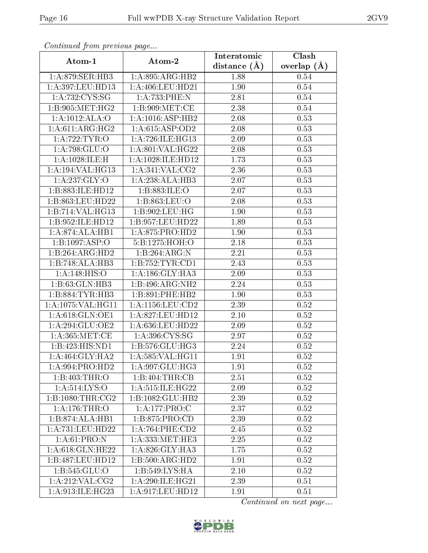| Continuea from previous page |                      | Interatomic       | Clash         |
|------------------------------|----------------------|-------------------|---------------|
| Atom-1                       | Atom-2               | distance $(A)$    | overlap $(A)$ |
| 1:A:879:SER:HB3              | 1:A:895:ARG:HB2      | 1.88              | 0.54          |
| 1:A:397:LEU:HD13             | 1:A:406:LEU:HD21     | 1.90              | 0.54          |
| 1:A:732:CYS:SG               | 1: A:733:PHE:N       | 2.81              | 0.54          |
| 1:B:905:MET:HG2              | 1: B:909:MET:CE      | 2.38              | 0.54          |
| 1:A:1012:ALA:O               | 1:A:1016:ASP:HB2     | 2.08              | 0.53          |
| 1: A:611: ARG: HG2           | 1: A:615: ASP:OD2    | 2.08              | 0.53          |
| 1:A:722:TYR:O                | 1: A:726: ILE: HG13  | 2.09              | 0.53          |
| 1:A:798:GLU:O                | 1: A:801:VAL:HG22    | 2.08              | 0.53          |
| 1:A:1028:ILE:H               | 1:A:1028:ILE:HD12    | 1.73              | 0.53          |
| 1: A:194: VAL:HG13           | 1: A:341: VAL: CG2   | 2.36              | 0.53          |
| 1:A:237:GLY:O                | 1:A:238:ALA:HB3      | 2.07              | 0.53          |
| 1:B:883:ILE:HD12             | 1:B:883:ILE:O        | 2.07              | 0.53          |
| 1:B:863:LEU:HD22             | 1: B: 863: LEU: O    | 2.08              | 0.53          |
| 1:B:714:VAL:HG13             | 1: B:902: LEU: HG    | 1.90              | 0.53          |
| 1:B:952:ILE:HD12             | 1:B:957:LEU:HD22     | 1.89              | 0.53          |
| 1:A:874:ALA:HB1              | 1: A:875: PRO:HD2    | 1.90              | 0.53          |
| 1:B:1097:ASP:O               | 5:B:1275:HOH:O       | 2.18              | 0.53          |
| 1:B:264:ARG:HD2              | 1:B:264:ARG:N        | 2.21              | 0.53          |
| 1:B:748:ALA:HB3              | 1:B:752:TYR:CD1      | 2.43              | 0.53          |
| 1: A:148: HIS:O              | $1:$ A:186:GLY:HA3   | 2.09              | 0.53          |
| 1:B:63:GLN:HB3               | 1:B:496:ARG:NH2      | 2.24              | 0.53          |
| 1:B:884:TYR:HB3              | 1:B:891:PHE:HB2      | 1.90              | 0.53          |
| 1: A: 1075: VAL:HGI1         | 1: A: 1156: LEU: CD2 | 2.39              | 0.52          |
| 1: A:618: GLN:OE1            | 1:A:827:LEU:HD12     | $2.10\,$          | 0.52          |
| 1:A:294:GLU:OE2              | 1:A:636:LEU:HD22     | 2.09              | 0.52          |
| 1: A: 365: MET:CE            | 1: A:396: CYS:SG     | 2.97              | 0.52          |
| 1:B:423:HIS:ND1              | 1: B: 576: GLU: HG3  | 2.24              | 0.52          |
| $1:A:464:\overline{GLY:HA2}$ | 1:A:585:VAL:HG11     | 1.91              | 0.52          |
| 1: A:994: PRO:HD2            | 1:A:997:GLU:HG3      | 1.91              | 0.52          |
| 1:B:403:THR:O                | 1:B:404:THR:CB       | 2.51              | 0.52          |
| 1: A:514: LYS:O              | 1: A:515: ILE: HG22  | 2.09              | 0.52          |
| 1:B:1080:THR:CG2             | 1:B:1082:GLU:HB2     | 2.39              | 0.52          |
| 1:A:176:THR:O                | 1:A:177:PRO:C        | 2.37              | 0.52          |
| 1:B:874:ALA:HB1              | 1:B:875:PRO:CD       | 2.39              | 0.52          |
| 1: A: 731: LEU: HD22         | 1: A:764:PHE:CD2     | 2.45              | 0.52          |
| 1: A:61: PRO: N              | 1:A:333:MET:HE3      | $\overline{2.25}$ | 0.52          |
| 1:A:618:GLN:HE22             | 1: A:826: GLY:HA3    | 1.75              | 0.52          |
| 1:B:487:LEU:HD12             | 1:B:500:ARG:HD2      | 1.91              | 0.52          |
| 1: B: 545: GLU:O             | 1:B:549:LYS:HA       | 2.10              | 0.52          |
| 1:A:212:VAL:CG2              | 1: A:290: ILE:HG21   | 2.39              | 0.51          |
| 1:A:913:ILE:HG23             | 1:A:917:LEU:HD12     | 1.91              | 0.51          |

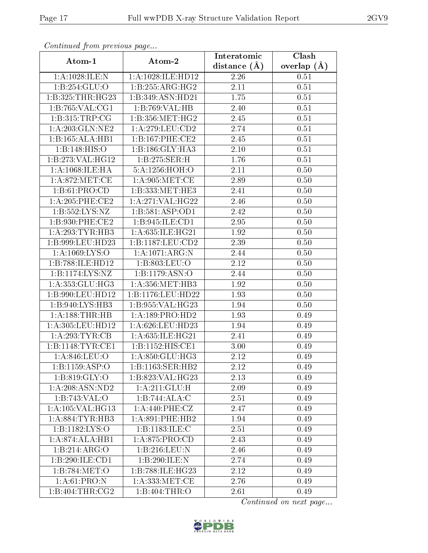| Contentaca prome providuo pago |                                 | Interatomic      | $\overline{\text{Clash}}$ |
|--------------------------------|---------------------------------|------------------|---------------------------|
| Atom-1                         | Atom-2                          | distance $(\AA)$ | overlap $(A)$             |
| 1:A:1028:ILE:N                 | 1:A:1028:ILE:HD12               | 2.26             | 0.51                      |
| 1: B: 254: GLU:O               | 1:B:255:ARG:HG2                 | 2.11             | 0.51                      |
| 1: B: 325: THR: HG23           | 1:B:349:ASN:HD21                | 1.75             | 0.51                      |
| 1:B:765:VAL:CG1                | 1:B:769:VAL:HB                  | 2.40             | 0.51                      |
| 1:B:315:TRP:CG                 | 1:B:356:MET:HG2                 | 2.45             | 0.51                      |
| 1: A:203: GLN:NE2              | 1: A:279:LEU:CD2                | 2.74             | 0.51                      |
| 1:B:165:ALA:HB1                | 1:B:167:PHE:CE2                 | 2.45             | 0.51                      |
| 1:B:148:HIS:O                  | 1:B:186:GLY:HA3                 | 2.10             | 0.51                      |
| 1:B:273:VAL:HG12               | 1:B:275:SER:H                   | 1.76             | 0.51                      |
| 1:A:1068:ILE:HA                | 5:A:1256:HOH:O                  | 2.11             | 0.50                      |
| 1:A:872:MET:CE                 | 1: A:905: MET:CE                | 2.89             | 0.50                      |
| 1: B:61: PRO:CD                | 1:B:333:MET:HE3                 | 2.41             | 0.50                      |
| 1: A:205:PHE:CE2               | 1:A:271:VAL:HG22                | 2.46             | 0.50                      |
| 1: B: 552: LYS: NZ             | 1:B:581:ASP:OD1                 | 2.42             | 0.50                      |
| 1:B:930:PHE:CE2                | $1: B:945: ILE: \overline{OD1}$ | 2.95             | 0.50                      |
| 1:A:293:TYR:HB3                | 1: A:635: ILE: HG21             | 1.92             | 0.50                      |
| 1:B:999:LEU:HD23               | 1:B:1187:LEU:CD2                | 2.39             | 0.50                      |
| 1: A: 1069: LYS: O             | 1: A: 1071: ARG: N              | 2.44             | 0.50                      |
| 1:B:788:ILE:HD12               | 1:B:803:LEU:O                   | 2.12             | 0.50                      |
| 1:B:1174:LYS:NZ                | 1:B:1179:ASN:O                  | 2.44             | 0.50                      |
| 1: A: 353: GLU: HG3            | 1: A: 356: MET: HB3             | 1.92             | 0.50                      |
| 1:B:990:LEU:HD12               | 1:B:1176:LEU:HD22               | 1.93             | 0.50                      |
| 1:B:940:LYS:HB3                | 1:B:955:VAL:HG23                | 1.94             | 0.50                      |
| 1: A: 188: THR: HB             | 1:A:189:PRO:HD2                 | 1.93             | 0.49                      |
| 1: A: 305: LEU: HD12           | 1:A:626:LEU:HD23                | 1.94             | 0.49                      |
| 1:A:293:TYR:CB                 | 1:A:635:ILE:HG21                | 2.41             | 0.49                      |
| 1:B:1148:TYR:CE1               | 1:B:1152:HIS:CE1                | 3.00             | 0.49                      |
| 1:A:846:LEU:O                  | 1: A:850: GLU:HG3               | 2.12             | 0.49                      |
| 1:B:1159:ASP:O                 | 1:B:1163:SER:HB2                | 2.12             | 0.49                      |
| 1:B:819:GLY:O                  | 1:B:823:VAL:HG23                | 2.13             | 0.49                      |
| 1: A:208: ASN:ND2              | 1: A:211: GLU: H                | 2.09             | 0.49                      |
| 1:B:743:VAL:O                  | 1:B:744:ALA:C                   | 2.51             | 0.49                      |
| 1: A:105: VAL:HG13             | 1:A:440:PHE:CZ                  | 2.47             | 0.49                      |
| 1:A:884:TYR:HB3                | 1: A:891:PHE:HB2                | 1.94             | 0.49                      |
| 1: B: 1182: LYS: O             | 1:B:1183:ILE:C                  | 2.51             | 0.49                      |
| 1:A:874:ALA:HB1                | 1:A:875:PRO:CD                  | 2.43             | 0.49                      |
| 1:B:214:ARG:O                  | 1:B:216:LEU:N                   | 2.46             | 0.49                      |
| 1:B:290:ILE:CD1                | 1:B:290:ILE:N                   | 2.74             | 0.49                      |
| 1: B:784:MET:O                 | 1:B:788:ILE:HG23                | 2.12             | 0.49                      |
| 1: A:61: PRO: N                | 1: A: 333: MET:CE               | 2.76             | 0.49                      |
| 1:B:404:THR:CG2                | 1:B:404:THR:O                   | 2.61             | 0.49                      |

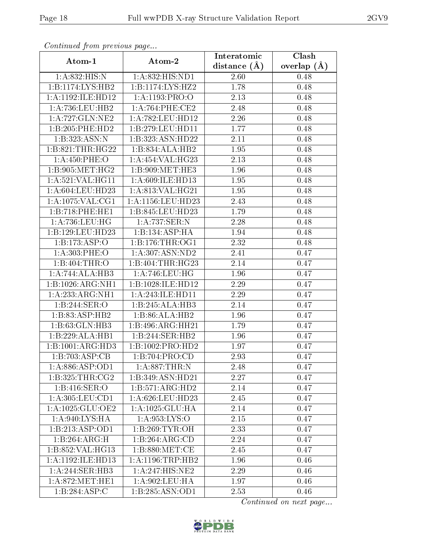| Contentaca promo proceduo pago |                                 | Interatomic    | Clash         |
|--------------------------------|---------------------------------|----------------|---------------|
| Atom-1                         | Atom-2                          | distance $(A)$ | overlap $(A)$ |
| 1: A:832: HIS:N                | 1:A:832:HIS:ND1                 | 2.60           | 0.48          |
| 1:B:1174:LYS:HB2               | 1: B: 1174: LYS: HZ2            | 1.78           | 0.48          |
| 1:A:1192:ILE:HD12              | 1: A: 1193: PRO: O              | $2.13\,$       | 0.48          |
| 1: A: 736: LEU: HB2            | 1: A:764:PHE:CE2                | 2.48           | 0.48          |
| 1:A:727:GLN:NE2                | 1:A:782:LEU:HD12                | 2.26           | 0.48          |
| 1:B:205:PHE:HD2                | 1:B:279:LEU:HD11                | 1.77           | 0.48          |
| 1:B:323:ASN:N                  | 1:B:323:ASN:HD22                | 2.11           | 0.48          |
| 1:B:821:THR:HG22               | 1:B:834:ALA:HB2                 | 1.95           | 0.48          |
| 1:A:450:PHE:O                  | 1:A:454:VAL:HG23                | 2.13           | 0.48          |
| 1: B:905: MET:HG2              | 1: B:909:MET:HE3                | 1.96           | 0.48          |
| $1:$ A:521:VAL:HG11            | 1:A:609:ILE:HD13                | 1.95           | 0.48          |
| 1: A:604:LEU:HD23              | 1:A:813:VAL:HG21                | 1.95           | 0.48          |
| 1: A: 1075: VAL: CG1           | 1:A:1156:LEU:HD23               | 2.43           | 0.48          |
| 1:B:718:PHE:HE1                | 1:B:845:LEU:HD23                | 1.79           | 0.48          |
| 1: A:736:LEU:HG                | 1: A:737: SER: N                | 2.28           | 0.48          |
| 1:B:129:LEU:HD23               | 1:B:134:ASP:HA                  | 1.94           | 0.48          |
| 1: B: 173: ASP: O              | 1: B:176: THR:OG1               | 2.32           | 0.48          |
| 1: A:303: PHE:O                | $1: A:307: ASN: \overline{ND2}$ | 2.41           | 0.47          |
| 1:B:404:THR:O                  | 1:B:404:THR:HG23                | 2.14           | 0.47          |
| 1:A:744:ALA:HB3                | 1: A:746:LEU:HG                 | 1.96           | 0.47          |
| 1:B:1026:ARG:NH1               | 1:B:1028:ILE:HD12               | 2.29           | 0.47          |
| 1:A:233:ARG:NH1                | 1:A:243:ILE:HD11                | 2.29           | 0.47          |
| 1:B:244:SER:O                  | 1:B:245:ALA:HB3                 | 2.14           | 0.47          |
| 1:B:83:ASP:HB2                 | 1:B:86:ALA:HB2                  | 1.96           | 0.47          |
| 1:B:63:GLN:HB3                 | 1:B:496:ARG:HH21                | 1.79           | 0.47          |
| 1:B:229:ALA:HB1                | 1:B:244:SER:HB2                 | 1.96           | 0.47          |
| 1:B:1001:ARG:HD3               | 1:B:1002:PRO:HD2                | 1.97           | 0.47          |
| 1:B:703:ASP:CB                 | 1:B:704:PRO:CD                  | 2.93           | 0.47          |
| 1:A:886:ASP:OD1                | 1:A:887:THR:N                   | 2.48           | 0.47          |
| 1: B: 325: THR: CG2            | 1:B:349:ASN:HD21                | 2.27           | 0.47          |
| 1:B:416:SER:O                  | 1:B:571:ARG:HD2                 | 2.14           | 0.47          |
| 1: A:305: LEU: CD1             | 1:A:626:LEU:HD23                | 2.45           | 0.47          |
| 1:A:1025:GLU:OE2               | 1:A:1025:GLU:HA                 | 2.14           | 0.47          |
| 1:A:940:LYS:HA                 | 1:A:953:LYS:O                   | 2.15           | 0.47          |
| 1:B:213:ASP:OD1                | 1: B:269: TYR:OH                | 2.33           | 0.47          |
| 1:B:264:ARG:H                  | 1:B:264:ARG:CD                  | 2.24           | 0.47          |
| 1:B:852:VAL:HG13               | 1: B: 880: MET:CE               | 2.45           | 0.47          |
| 1:A:1192:ILE:HD13              | 1: A: 1196: TRP: HB2            | 1.96           | 0.46          |
| 1: A:244: SER:HB3              | 1:A:247:HIS:NE2                 | 2.29           | 0.46          |
| 1: A:872:MET:HE1               | 1:A:902:LEU:HA                  | 1.97           | 0.46          |
| 1:B:284:ASP:C                  | 1:B:285:ASN:OD1                 | 2.53           | 0.46          |

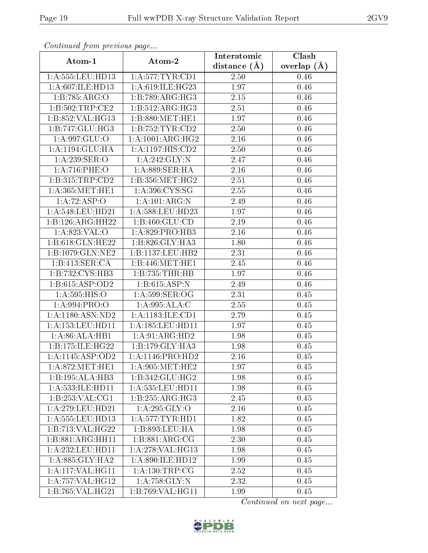| Continually from providuo puga |                               | Interatomic       | Clash         |
|--------------------------------|-------------------------------|-------------------|---------------|
| Atom-1                         | Atom-2                        | distance $(\AA)$  | overlap $(A)$ |
| 1:A:555:LEU:HD13               | 1: A:577:TYR:CD1              | 2.50              | 0.46          |
| 1: A:607: ILE: HD13            | 1: A:619: ILE: HG23           | 1.97              | 0.46          |
| 1:B:785:ARG:O                  | 1:B:789:ARG:HG3               | $2.15\,$          | 0.46          |
| 1:B:502:TRP:CE2                | 1:B:512:ARG:HG3               | 2.51              | 0.46          |
| 1:B:852:VAL:HG13               | 1:B:880:MET:HE1               | 1.97              | 0.46          |
| 1:B:747:GLU:HG3                | 1: B: 752: TYR: CD2           | 2.50              | 0.46          |
| 1:A:997:GLU:O                  | 1:A:1001:ARG:HG2              | 2.16              | 0.46          |
| 1:A:1194:GLU:HA                | $1:A:1197:HIS:\overline{CD2}$ | 2.50              | 0.46          |
| 1:A:239:SER:O                  | 1:A:242:GLY:N                 | $\overline{2.47}$ | 0.46          |
| 1:A:716:PHE:O                  | 1:A:889:SER:HA                | 2.16              | 0.46          |
| 1:B:315:TRP:CD2                | 1:B:356:MET:HG2               | 2.51              | 0.46          |
| 1: A: 365: MET: HE1            | 1:A:396:CYS:SG                | 2.55              | 0.46          |
| 1:A:72:ASP:O                   | 1:A:101:ARG:N                 | 2.49              | 0.46          |
| 1:A:548:LEU:HD21               | 1:A:588:LEU:HD23              | 1.97              | 0.46          |
| 1:B:126:ARG:HH22               | 1:B:460:GLU:CD                | 2.19              | 0.46          |
| 1: A:823: VAL:O                | 1:A:829:PRO:HB3               | 2.16              | 0.46          |
| 1:B:618:GLN:HE22               | 1:B:826:GLY:HA3               | 1.80              | 0.46          |
| 1:B:1079:GLN:NE2               | 1:B:1137:LEU:HB2              | 2.31              | 0.46          |
| 1:B:413:SER:CA                 | 1:B:446:MET:HE1               | 2.45              | 0.46          |
| 1:B:732:CYS:HB3                | 1:B:735:THR:HB                | 1.97              | 0.46          |
| 1: B:615: ASP:OD2              | 1: B:615: ASP:N               | 2.49              | 0.46          |
| 1: A:595: HIS:O                | 1:A:599:SER:OG                | 2.31              | 0.45          |
| 1: A:994: PRO:O                | 1:A:995:ALA:C                 | 2.55              | 0.45          |
| 1:A:1180:ASN:ND2               | 1: A: 1183: ILE: CD1          | 2.79              | 0.45          |
| 1: A: 153: LEU: HD11           | 1:A:185:LEU:HD11              | 1.97              | 0.45          |
| 1:A:86:ALA:HB1                 | 1:A:91:ARG:HD2                | 1.98              | 0.45          |
| 1:B:175:ILE:HG22               | 1:B:179:GLY:HA3               | 1.98              | 0.45          |
| 1:A:1145:ASP:OD2               | 1:A:1146:PRO:HD2              | 2.16              | 0.45          |
| 1: A:872:MET:HE1               | 1: A:905: MET:HE2             | 1.97              | 0.45          |
| 1:B:195:ALA:HB3                | 1:B:342:GLU:HG2               | 1.98              | 0.45          |
| 1: A: 533: ILE: HD11           | 1:A:535:LEU:HD11              | 1.98              | 0.45          |
| 1:B:253:VAL:CG1                | 1:B:255:ARG:HG3               | 2.45              | 0.45          |
| 1:A:279:LEU:HD21               | 1: A:295: GLY:O               | 2.16              | 0.45          |
| 1:A:555:LEU:HD13               | 1: A:577:TYR:HD1              | 1.82              | 0.45          |
| 1:B:713:VAL:HG22               | 1:B:893:LEU:HA                | 1.98              | 0.45          |
| 1:B:881:ARG:HH11               | 1:B:881:ARG:CG                | 2.30              | 0.45          |
| 1: A: 232: LEU: HD11           | 1:A:278:VAL:HG13              | 1.98              | 0.45          |
| 1: A:885: GLY:HA2              | 1:A:890:ILE:HD12              | 1.99              | 0.45          |
| 1:A:117:VAL:HG11               | 1: A: 130: TRP: CG            | 2.52              | 0.45          |
| 1: A: 757: VAL:HG12            | 1: A:758: GLY:N               | 2.32              | 0.45          |
| 1:B:765:VAL:HG21               | 1:B:769:VAL:HG11              | 1.99              | 0.45          |

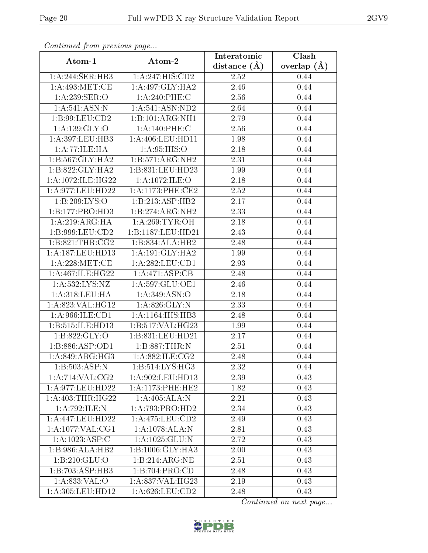| Continuation providus page |                               | Interatomic       | Clash         |  |
|----------------------------|-------------------------------|-------------------|---------------|--|
| Atom-1                     | Atom-2                        | distance $(\AA)$  | overlap $(A)$ |  |
| 1: A:244: SER: HB3         | 1:A:247:HIS:CD2               | 2.52              | 0.44          |  |
| 1: A:493:MET:CE            | 1:A:497:GLY:HA2               | 2.46              | 0.44          |  |
| 1:A:239:SER:O              | 1:A:240:PHE: C                | 2.56              | 0.44          |  |
| 1: A:541: ASN: N           | 1:A:541:ASN:ND2               | 2.64              | 0.44          |  |
| 1:B:99:LEU:CD2             | 1:B:101:ARG:NH1               | 2.79              | 0.44          |  |
| 1: A: 139: GLY: O          | $1:A:140:PHE:\overline{C}$    | 2.56              | 0.44          |  |
| 1: A: 397: LEU: HB3        | $1:$ A: $406$ : $LEU$ :HD11   | 1.98              | 0.44          |  |
| 1:A:77:ILE:HA              | 1:A:95:HIS:O                  | 2.18              | 0.44          |  |
| 1:B:567:GLY:HA2            | 1:B:571:ARG:NH2               | $\overline{2.31}$ | 0.44          |  |
| 1:B:822:GLY:HA2            | 1:B:831:LEU:HD23              | 1.99              | 0.44          |  |
| 1:A:1072:ILE:HG22          | 1:A:1072:ILE:O                | 2.18              | 0.44          |  |
| 1:A:977:LEU:HD22           | 1: A:1173:PHE:CE2             | 2.52              | 0.44          |  |
| 1:B:209:LYS:O              | 1:B:213:ASP:HB2               | 2.17              | 0.44          |  |
| 1:B:177:PRO:HD3            | 1:B:274:ARG:NH2               | 2.33              | 0.44          |  |
| 1: A:219:ARG:HA            | 1: A:269:TYR:OH               | 2.18              | 0.44          |  |
| 1:B:999:LEU:CD2            | 1:B:1187:LEU:HD21             | 2.43              | 0.44          |  |
| 1: B:821:THR:CG2           | 1:B:834:ALA:HB2               | 2.48              | 0.44          |  |
| 1:A:187:LEU:HD13           | 1: A:191: GLY:HA2             | 1.99              | 0.44          |  |
| 1: A:228: MET:CE           | 1:A:282:LEU:CD1               | 2.93              | 0.44          |  |
| 1: A:467: ILE: HG22        | 1:A:471:ASP:CB                | 2.48              | 0.44          |  |
| 1: A: 532: LYS: NZ         | 1:A:597:GLU:OE1               | 2.46              | 0.44          |  |
| 1:A:318:LEU:HA             | 1:A:349:ASN:O                 | 2.18              | 0.44          |  |
| 1:A:823:VAL:HG12           | 1: A:826: GLY:N               | 2.33              | 0.44          |  |
| 1: A:966: ILE: CD1         | 1:A:1164:HIS:HB3              | 2.48              | 0.44          |  |
| 1:B:515:ILE:HD13           | 1:B:517:VAL:HG23              | 1.99              | 0.44          |  |
| 1:B:822:GLY:O              | 1:B:831:LEU:HD21              | 2.17              | 0.44          |  |
| 1:B:886:ASP:OD1            | 1:B:887:THR:N                 | 2.51              | 0.44          |  |
| 1:A:849:ARG:HG3            | 1:A:882:ILE:CG2               | 2.48              | 0.44          |  |
| 1:B:503:ASP:N              | 1: B:514: LYS: HG3            | 2.32              | 0.44          |  |
| 1: A:714: VAL: CG2         | 1:A:902:LEU:HD13              | 2.39              | 0.43          |  |
| 1:A:977:LEU:HD22           | 1: A:1173: PHE:HE2            | 1.82              | 0.43          |  |
| 1: A:403:THR:HG22          | 1:A:405:ALA:N                 | 2.21              | 0.43          |  |
| 1:A:792:ILE:N              | 1: A:793: PRO:HD2             | 2.34              | 0.43          |  |
| 1:A:447:LEU:HD22           | 1:A:475:LEU:CD2               | 2.49              | 0.43          |  |
| 1: A: 1077: VAL: CG1       | 1:A:1078:ALA:N                | 2.81              | 0.43          |  |
| 1:A:1023:ASP:C             | 1:A:1025:GLU:N                | 2.72              | 0.43          |  |
| 1:B:986:ALA:HB2            | $1:B:1006:GLY:H\overline{A3}$ | 2.00              | 0.43          |  |
| 1: B:210: GLU:O            | 1:B:214:ARG:NE                | 2.51              | 0.43          |  |
| 1:B:703:ASP:HB3            | 1:B:704:PRO:CD                | 2.48              | 0.43          |  |
| 1: A:833: VAL:O            | 1: A:837: VAL:HG23            | 2.19              | 0.43          |  |
| 1: A: 305: LEU: HD12       | 1: A:626:LEU:CD2              | 2.48              | 0.43          |  |

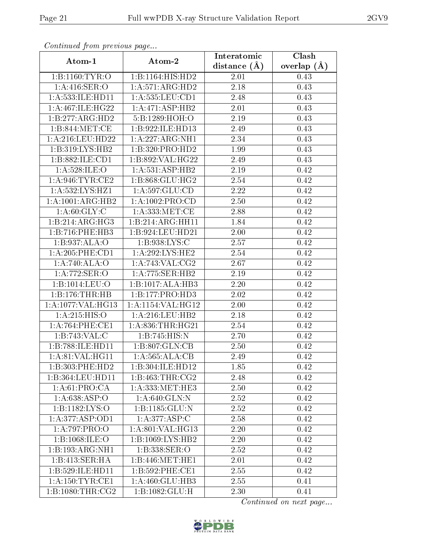| Continuea from pretious page |                     | Interatomic      | Clash         |
|------------------------------|---------------------|------------------|---------------|
| Atom-1                       | Atom-2              | distance $(\AA)$ | overlap $(A)$ |
| 1:B:1160:TYR:O               | 1:B:1164:HIS:HD2    | 2.01             | 0.43          |
| 1: A:416: SER:O              | 1:A:571:ARG:HD2     | 2.18             | 0.43          |
| 1: A: 533: ILE: HD11         | 1: A: 535: LEU: CD1 | 2.48             | 0.43          |
| 1: A:467: ILE: HG22          | 1:A:471:ASP:HB2     | 2.01             | 0.43          |
| 1:B:277:ARG:HD2              | 5:B:1289:HOH:O      | 2.19             | 0.43          |
| 1: B: 844: MET: CE           | 1:B:922:ILE:HD13    | 2.49             | 0.43          |
| 1:A:216:LEU:HD22             | 1:A:227:ARG:NH1     | 2.34             | 0.43          |
| 1:B:319:LYS:HB2              | 1:B:320:PRO:HD2     | 1.99             | 0.43          |
| 1:B:882:ILE:CD1              | 1:B:892:VAL:HG22    | 2.49             | 0.43          |
| 1: A:528: ILE: O             | 1: A:531: ASP:HB2   | 2.19             | 0.42          |
| 1: A:946:TYR:CE2             | 1:B:868:GLU:HG2     | 2.54             | 0.42          |
| 1:A:532:LYS:HZ1              | 1:A:597:GLU:CD      | 2.22             | 0.42          |
| 1:A:1001:ARG:HB2             | 1: A: 1002: PRO:CD  | 2.50             | 0.42          |
| 1: A:60: GLY: C              | 1:A:333:MET:CE      | 2.88             | 0.42          |
| 1:B:214:ARG:HG3              | 1:B:214:ARG:HH11    | 1.84             | 0.42          |
| 1:B:716:PHE:HB3              | 1:B:924:LEU:HD21    | 2.00             | 0.42          |
| 1:B:937:ALA:O                | 1:B:938:LYS:C       | 2.57             | 0.42          |
| 1:A:205:PHE:CD1              | 1: A:292:LYS:HE2    | 2.54             | 0.42          |
| 1:A:740:ALA:O                | 1:A:743:VAL:CG2     | 2.67             | 0.42          |
| 1:A:772:SER:O                | 1: A:775: SER: HB2  | 2.19             | 0.42          |
| 1:B:1014:LEU:O               | 1:B:1017:ALA:HB3    | 2.20             | 0.42          |
| 1:B:176:THR:HB               | 1:B:177:PRO:HD3     | 2.02             | 0.42          |
| 1: A: 1077: VAL:HG13         | 1: A:1154: VAL:HG12 | 2.00             | 0.42          |
| 1: A:215: HIS:O              | 1: A:216:LEU:HB2    | 2.18             | 0.42          |
| 1:A:764:PHE:CE1              | 1: A:836:THR:HG21   | 2.54             | 0.42          |
| 1:B:743:VAL:C                | 1:B:745:HIS:N       | 2.70             | 0.42          |
| 1:B:788:ILE:HD11             | 1: B: 807: GLN: CB  | 2.50             | 0.42          |
| 1:A:81:VAL:HG11              | 1: A: 565: ALA: CB  | 2.49             | 0.42          |
| 1:B:303:PHE:HD2              | 1:B:304:ILE:HD12    | 1.85             | 0.42          |
| 1:B:364:LEU:HD11             | 1:B:463:THR:CG2     | 2.48             | 0.42          |
| 1:A:61:PRO:CA                | 1: A: 333: MET: HE3 | 2.50             | 0.42          |
| 1: A:638: ASP:O              | 1: A:640: GLN:N     | 2.52             | 0.42          |
| 1:B:1182:LYS:O               | 1:B:1185:GLU:N      | 2.52             | 0.42          |
| 1:A:377:ASP:OD1              | 1:A:377:ASP:C       | 2.58             | 0.42          |
| 1:A:797:PRO:O                | 1:A:801:VAL:HG13    | 2.20             | 0.42          |
| 1:B:1068:ILE:O               | 1:B:1069:LYS:HB2    | 2.20             | 0.42          |
| 1:B:193:ARG:NH1              | 1:B:338:SER:O       | 2.52             | 0.42          |
| 1:B:413:SER:HA               | 1:B:446:MET:HE1     | 2.01             | 0.42          |
| 1:B:529:ILE:HD11             | 1:B:592:PHE:CE1     | 2.55             | 0.42          |
| 1: A:150: TYR: CE1           | 1:A:460:GLU:HB3     | 2.55             | 0.41          |
| 1:B:1080:THR:CG2             | 1:B:1082:GLU:H      | 2.30             | 0.41          |

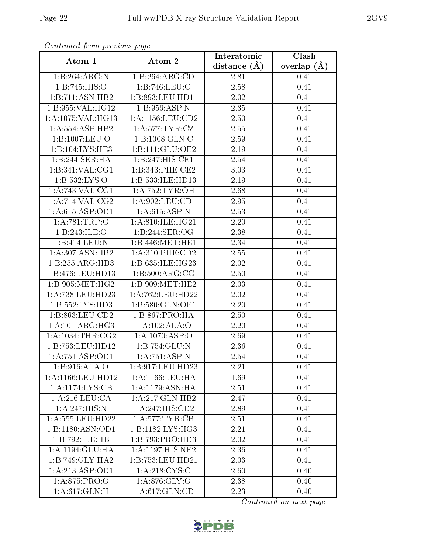| contentava promo provisão pago |                     | Interatomic       | Clash         |
|--------------------------------|---------------------|-------------------|---------------|
| Atom-1                         | Atom-2              | distance $(A)$    | overlap $(A)$ |
| 1:B:264:ARG:N                  | 1:B:264:ARG:CD      | 2.81              | 0.41          |
| 1:B:745:HIS:O                  | 1:B:746:LEU:C       | $2.58\,$          | 0.41          |
| 1:B:711:ASN:HB2                | 1:B:893:LEU:HD11    | 2.02              | 0.41          |
| 1:B:955:VAL:HG12               | 1: B:956: ASP:N     | 2.35              | 0.41          |
| 1:A:1075:VAL:HG13              | 1:A:1156:LEU:CD2    | 2.50              | 0.41          |
| 1: A: 554: ASP: HB2            | 1: A:577: TYR: CZ   | 2.55              | 0.41          |
| 1:B:1007:LEU:O                 | 1:B:1008:GLN:C      | 2.59              | 0.41          |
| 1:B:104:LYS:HE3                | 1:B:111:GLU:OE2     | 2.19              | 0.41          |
| 1:B:244:SER:HA                 | 1:B:247:HIS:CE1     | $\overline{2.54}$ | 0.41          |
| 1:B:341:VAL:CG1                | 1:B:343:PHE:CE2     | 3.03              | 0.41          |
| 1:B:532:LYS:O                  | 1:B:533:ILE:HD13    | 2.19              | 0.41          |
| 1: A:743: VAL:CG1              | 1: A:752: TYR: OH   | 2.68              | 0.41          |
| 1: A:714: VAL: CG2             | 1: A:902:LEU:CD1    | 2.95              | 0.41          |
| 1: A:615: ASP:OD1              | 1: A:615: ASP: N    | 2.53              | 0.41          |
| 1: A:781:TRP:O                 | 1: A:810: ILE: HG21 | 2.20              | 0.41          |
| 1:B:243:ILE:O                  | 1:B:244:SER:OG      | 2.38              | 0.41          |
| 1:B:414:LEU:N                  | 1:B:446:MET:HE1     | 2.34              | 0.41          |
| 1: A: 307: ASN: HB2            | 1: A:310: PHE:CD2   | 2.55              | 0.41          |
| 1:B:255:ARG:HD3                | 1:B:635:ILE:HG23    | 2.02              | 0.41          |
| 1:B:476:LEU:HD13               | 1: B:500: ARG: CG   | 2.50              | 0.41          |
| 1: B:905: MET:HG2              | 1: B:909:MET:HE2    | 2.03              | 0.41          |
| 1:A:738:LEU:HD23               | 1:A:762:LEU:HD22    | 2.02              | 0.41          |
| 1:B:552:LYS:HD3                | 1:B:580:GLN:OE1     | 2.20              | 0.41          |
| 1:B:863:LEU:CD2                | 1:B:867:PRO:HA      | 2.50              | 0.41          |
| 1: A:101: ARG: HG3             | 1:A:102:ALA:O       | 2.20              | 0.41          |
| 1: A: 1034: THR: CG2           | 1: A: 1070: ASP: O  | 2.69              | 0.41          |
| 1:B:753:LEU:HD12               | 1:B:754:GLU:N       | 2.36              | 0.41          |
| 1:A:751:ASP:OD1                | 1: A:751: ASP: N    | 2.54              | 0.41          |
| 1: B:916: ALA:O                | 1:B:917:LEU:HD23    | 2.21              | 0.41          |
| 1:A:1166:LEU:HD12              | 1: A:1166:LEU:HA    | 1.69              | 0.41          |
| 1:A:1174:LYS:CB                | 1:A:1179:ASN:HA     | 2.51              | 0.41          |
| 1: A:216:LEU:CA                | 1:A:217:GLN:HB2     | 2.47              | 0.41          |
| 1:A:247:HIS:N                  | 1:A:247:HIS:CD2     | 2.89              | 0.41          |
| 1:A:555:LEU:HD22               | 1: A:577:TYR:CB     | 2.51              | 0.41          |
| 1:B:1180:ASN:OD1               | 1:B:1182:LYS:HG3    | 2.21              | 0.41          |
| 1:B:792:ILE:HB                 | 1:B:793:PRO:HD3     | 2.02              | 0.41          |
| 1:A:1194:GLU:HA                | 1:A:1197:HIS:NE2    | 2.36              | 0.41          |
| 1:B:749:GLY:HA2                | 1:B:753:LEU:HD21    | 2.03              | 0.41          |
| 1:A:213:ASP:OD1                | 1:A:218:CYS:C       | 2.60              | 0.40          |
| 1:A:875:PRO:O                  | 1: A:876: GLY:O     | 2.38              | 0.40          |
| 1: A:617: GLN:H                | 1: A:617: GLN:CD    | 2.23              | 0.40          |

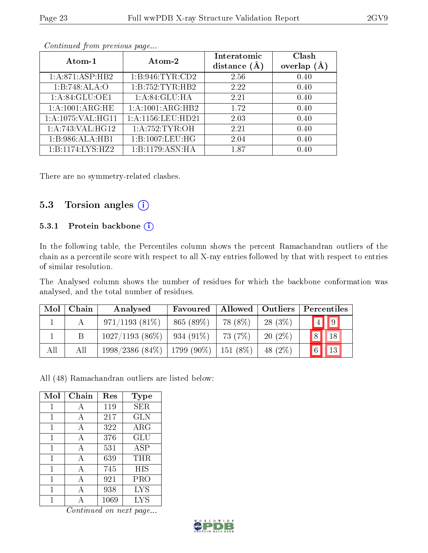| Atom-1               | Atom-2                       | Interatomic<br>distance $(A)$ | Clash<br>overlap $(A)$ |
|----------------------|------------------------------|-------------------------------|------------------------|
| 1:A:871:ASP:HB2      | 1: B:946: TYR: CD2           | 2.56                          | 0.40                   |
| 1:B:748:ALA:O        | 1:Bi:752:TYR:HB2             | 2.22                          | 0.40                   |
| 1: A:84: GLU:OE1     | 1:A:84:GLU:HA                | 2.21                          | 0.40                   |
| 1:A:1001:ARG:HE      | $1:$ A:1001:ARG:HB2          | 1.72                          | 0.40                   |
| 1: A: 1075: VAL:HGI1 | 1:A:1156:LEU:HD21            | 2.03                          | 0.40                   |
| 1: A:743:VAL:HG12    | 1:A:752:TYR:OH               | 2.21                          | 0.40                   |
| 1:B:986:ALA:HB1      | 1:B:1007:LEU:HG              | 2.04                          | 0.40                   |
| 1:B:1174:LYS:HZ2     | $1:B:1179:ASN:\overline{HA}$ | 1.87                          | 0.40                   |

There are no symmetry-related clashes.

### 5.3 Torsion angles  $(i)$

#### 5.3.1 Protein backbone (i)

In the following table, the Percentiles column shows the percent Ramachandran outliers of the chain as a percentile score with respect to all X-ray entries followed by that with respect to entries of similar resolution.

The Analysed column shows the number of residues for which the backbone conformation was analysed, and the total number of residues.

| Mol | Chain | Analysed          | Favoured                 |            | Allowed   Outliers | Percentiles    |
|-----|-------|-------------------|--------------------------|------------|--------------------|----------------|
|     |       | $971/1193(81\%)$  | 865 (89%)                | 78 (8%)    | $28(3\%)$          | $\sqrt{4}$   9 |
|     |       | $1027/1193(86\%)$ | $934(91\%)$              | 73 (7%)    | $20(2\%)$          | 8 <br> 18      |
| All | Αll   | 1998/2386(84%)    | $\mid$ 1799 (90%) $\mid$ | $151(8\%)$ | 48 $(2%)$          | $6\vert$<br>13 |

All (48) Ramachandran outliers are listed below:

| Mol | Chain | Res  | Type       |
|-----|-------|------|------------|
| 1   | A     | 119  | SER        |
| 1   | A     | 217  | GLN        |
| 1   | A     | 322  | $\rm{ARG}$ |
| 1   | A     | 376  | GLU        |
| 1   | A     | 531  | ASP        |
| 1   | A     | 639  | THR.       |
| 1   | A     | 745  | HIS        |
| 1   | А     | 921  | PRO        |
| 1   | А     | 938  | LYS        |
|     | Δ     | 1069 | <b>LYS</b> |

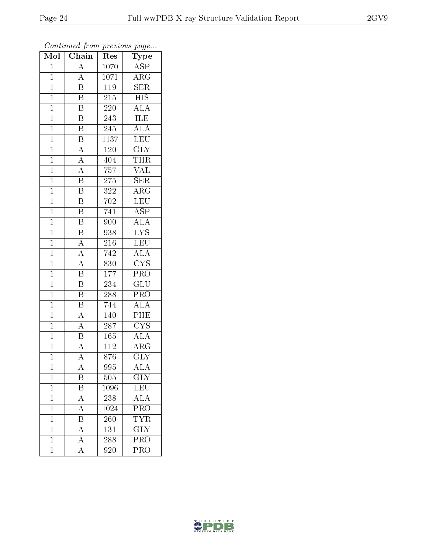|                |                         | $\mathbf{r}$ . $\sim$ $\sim$ | $r \sim 3$                |
|----------------|-------------------------|------------------------------|---------------------------|
| Mol            | Chain                   | $\mathbf{\bar{R}}$ es        | ${\bf Type}$              |
| $\mathbf 1$    | $\overline{\rm A}$      | 1070                         | <b>ASP</b>                |
| $\mathbf{1}$   | $\overline{A}$          | 1071                         | $\overline{\rm{ARG}}$     |
| $\overline{1}$ | $\overline{\mathbf{B}}$ | $11\overline{9}$             | $\overline{\text{SER}}$   |
| $\mathbf{1}$   | $\overline{\mathrm{B}}$ | $21\overline{5}$             | <b>HIS</b>                |
| $\overline{1}$ | $\overline{\mathrm{B}}$ | 220                          | $\overline{\rm ALA}$      |
| $\mathbf 1$    | B                       | $\overline{243}$             | ILE                       |
| $\overline{1}$ | Β                       | $\overline{245}$             | $\overline{\rm ALA}$      |
| $\mathbf{1}$   | $\overline{\mathrm{B}}$ | $\overline{1137}$            | LEU                       |
| $\mathbf{1}$   | $\overline{A}$          | $120\,$                      | $\overline{\text{GLY}}$   |
| $\overline{1}$ | $\overline{A}$          | 404                          | <b>THR</b>                |
| $\overline{1}$ | $\overline{\rm A}$      | 757                          | <b>VAL</b>                |
| $\overline{1}$ | $\overline{\mathrm{B}}$ | $275\,$                      | $\overline{\text{SER}}$   |
| $\mathbf{1}$   | $\overline{\mathbf{B}}$ | 322                          | $\overline{\rm{ARG}}$     |
| $\mathbf{1}$   | $\, {\bf B}$            | $702\,$                      | LEU                       |
| $\overline{1}$ | $\overline{\mathrm{B}}$ | 741                          | <b>ASP</b>                |
| $\mathbf{1}$   | B                       | 900                          | $\overline{\text{ALA}}$   |
| $\overline{1}$ | $\overline{\mathrm{B}}$ | 938                          | $\overline{\text{LYS}}$   |
| $\mathbf{1}$   | $\overline{A}$          | 216                          | LEU                       |
| $\mathbf{1}$   | $\overline{A}$          | 742                          | $\overline{\rm ALA}$      |
| $\mathbf{1}$   | $\overline{A}$          | 830                          | $\overline{\text{CYS}}$   |
| $\overline{1}$ | $\overline{\mathrm{B}}$ | 177                          | PRO                       |
| $\overline{1}$ | $\overline{\mathrm{B}}$ | 234                          | $\overline{{\rm GLU}}$    |
| $\mathbf{1}$   | $\overline{\mathrm{B}}$ | 288                          | PRO                       |
| $\overline{1}$ | $\overline{\mathrm{B}}$ | 744                          | $\overline{\rm ALA}$      |
| $\mathbf{1}$   | $\overline{\rm A}$      | 140                          | PHE                       |
| $\overline{1}$ | $\overline{A}$          | 287                          | $\overline{\text{CYS}}$   |
| $\mathbf 1$    | $\overline{\mathrm{B}}$ | 165                          | $\overline{\rm ALA}$      |
| $\mathbf{1}$   | $\overline{\rm A}$      | 112                          | $\rm{ARG}$                |
| $\overline{1}$ | $\overline{\rm A}$      | 876                          | $\overline{\text{GLY}}$   |
| 1              | А                       | 995                          | <b>ALA</b>                |
| $\mathbf 1$    | Β                       | 505                          | <b>GLY</b>                |
| $\mathbf{1}$   | $\overline{B}$          | 1096                         | LEU                       |
| $\mathbf{1}$   | $\overline{\rm A}$      | 238                          | $\overline{ALA}$          |
| $\overline{1}$ | $\overline{A}$          | 1024                         | $\overline{\text{PRO}}$   |
| $\mathbf{1}$   | B                       | 260                          | <b>TYR</b>                |
| $\overline{1}$ | $\overline{A}$          | $\overline{131}$             | $\overline{\text{GLY}}$   |
| $\mathbf 1$    | $\overline{A}$          | 288                          | $\overline{\mathrm{PRO}}$ |
| $\mathbf 1$    | $\overline{\rm A}$      | 920                          | PRO                       |

Continued from previous page...

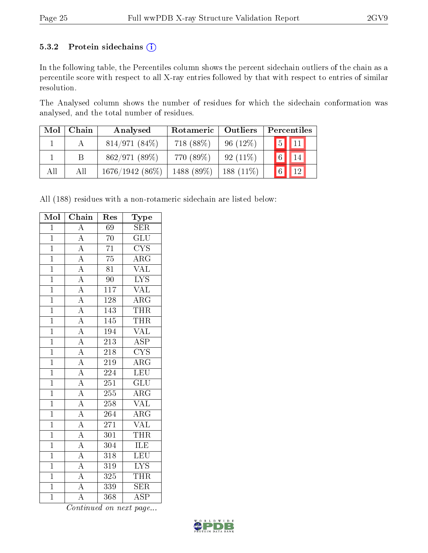#### 5.3.2 Protein sidechains (i)

In the following table, the Percentiles column shows the percent sidechain outliers of the chain as a percentile score with respect to all X-ray entries followed by that with respect to entries of similar resolution.

The Analysed column shows the number of residues for which the sidechain conformation was analysed, and the total number of residues.

| Mol | Chain | Analysed        | Rotameric  | Outliers     | Percentiles      |
|-----|-------|-----------------|------------|--------------|------------------|
|     |       | $814/971(84\%)$ | 718 (88%)  | $96(12\%)$   | 5  11            |
|     | B.    | 862/971 (89%)   | 770 (89%)  | $92(11\%)$   | $\sqrt{6}$<br>14 |
| All | All   | 1676/1942(86%)  | 1488 (89%) | 188 $(11\%)$ | 12               |

All (188) residues with a non-rotameric sidechain are listed below:

| Mol            | Chain                                                                                                                                                                                                                   | Res              | ${\bf Type}$            |
|----------------|-------------------------------------------------------------------------------------------------------------------------------------------------------------------------------------------------------------------------|------------------|-------------------------|
| $\overline{1}$ | $\overline{A}$                                                                                                                                                                                                          | 69               | <b>SER</b>              |
| $\overline{1}$ |                                                                                                                                                                                                                         | $\overline{70}$  | $\overline{\text{GLU}}$ |
| $\overline{1}$ | $\frac{\overline{A}}{\overline{A}}$                                                                                                                                                                                     | $\overline{71}$  | $\overline{\text{CYS}}$ |
| $\overline{1}$ | $\frac{\overline{A}}{\overline{A}}$                                                                                                                                                                                     | $\overline{75}$  | $\overline{\rm{ARG}}$   |
| $\overline{1}$ |                                                                                                                                                                                                                         | $\overline{81}$  | $\overline{\text{VAL}}$ |
| $\mathbf{1}$   |                                                                                                                                                                                                                         | $\overline{90}$  | $\overline{\text{LYS}}$ |
| $\overline{1}$ | $\frac{\overline{A}}{\overline{A}}$                                                                                                                                                                                     | $\overline{117}$ | $\overline{\text{VAL}}$ |
| $\overline{1}$ |                                                                                                                                                                                                                         | 128              | $\overline{\rm{ARG}}$   |
| $\overline{1}$ |                                                                                                                                                                                                                         | 143              | <b>THR</b>              |
| $\overline{1}$ | $\frac{\overline{A}}{\overline{A}}$ $\frac{\overline{A}}{\overline{A}}$ $\frac{\overline{A}}{\overline{A}}$ $\frac{\overline{A}}{\overline{A}}$ $\frac{\overline{A}}{\overline{A}}$ $\frac{\overline{A}}{\overline{A}}$ | 145              | <b>THR</b>              |
| $\mathbf{1}$   |                                                                                                                                                                                                                         | 194              | $\overline{\text{VAL}}$ |
| $\overline{1}$ |                                                                                                                                                                                                                         | 213              | $\overline{\text{ASP}}$ |
| $\overline{1}$ |                                                                                                                                                                                                                         | 218              | $\overline{\text{CYS}}$ |
| $\overline{1}$ |                                                                                                                                                                                                                         | $\overline{219}$ | $\overline{\rm{ARG}}$   |
| $\overline{1}$ |                                                                                                                                                                                                                         | 224              | LEU                     |
| $\overline{1}$ |                                                                                                                                                                                                                         | 251              | $GL\overline{U}$        |
| $\overline{1}$ |                                                                                                                                                                                                                         | 255              | $\overline{\rm{ARG}}$   |
| $\overline{1}$ |                                                                                                                                                                                                                         | 258              | $\overline{\text{VAL}}$ |
| $\overline{1}$ |                                                                                                                                                                                                                         | $\overline{264}$ | $\overline{\rm{ARG}}$   |
| $\overline{1}$ |                                                                                                                                                                                                                         | 271              | $\overline{\text{VAL}}$ |
| $\overline{1}$ | $\overline{A}$                                                                                                                                                                                                          | 301              | <b>THR</b>              |
| $\overline{1}$ | $\frac{\overline{A}}{\overline{A}}$                                                                                                                                                                                     | 304              | ILE                     |
| $\mathbf{1}$   |                                                                                                                                                                                                                         | 318              | LEU                     |
| $\overline{1}$ |                                                                                                                                                                                                                         | $\overline{319}$ | $\overline{\text{LYS}}$ |
| $\mathbf{1}$   | $\frac{\overline{A}}{\overline{A}}$                                                                                                                                                                                     | 325              | <b>THR</b>              |
| $\mathbf{1}$   |                                                                                                                                                                                                                         | 339              | $\overline{\text{SER}}$ |
| $\overline{1}$ | $\overline{\rm A}$                                                                                                                                                                                                      | 368              | $\overline{\text{ASP}}$ |

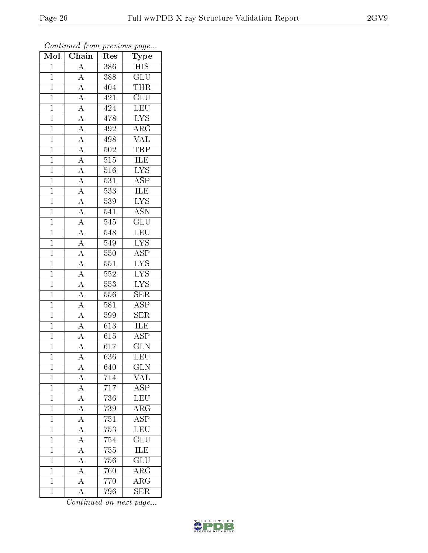| Mol            | $\cdots$ , $\cdots$<br>Chain                                                                                                                                                                                                                                                                                                                                                                                              | $\mathbf{r}$ .<br>Res | x.<br>Type                |
|----------------|---------------------------------------------------------------------------------------------------------------------------------------------------------------------------------------------------------------------------------------------------------------------------------------------------------------------------------------------------------------------------------------------------------------------------|-----------------------|---------------------------|
| $\mathbf{1}$   | $\overline{A}$                                                                                                                                                                                                                                                                                                                                                                                                            | 386                   | HIS                       |
| $\mathbf{1}$   |                                                                                                                                                                                                                                                                                                                                                                                                                           | 388                   | $\overline{\text{GLU}}$   |
| $\overline{1}$ |                                                                                                                                                                                                                                                                                                                                                                                                                           | 404                   | <b>THR</b>                |
| $\mathbf{1}$   |                                                                                                                                                                                                                                                                                                                                                                                                                           | 421                   | $\overline{\text{GLU}}$   |
| $\overline{1}$ |                                                                                                                                                                                                                                                                                                                                                                                                                           | 424                   | LEU                       |
| $\overline{1}$ |                                                                                                                                                                                                                                                                                                                                                                                                                           | 478                   | $\overline{\text{LYS}}$   |
| $\mathbf{1}$   |                                                                                                                                                                                                                                                                                                                                                                                                                           | 492                   | $\rm{ARG}$                |
| $\mathbf{1}$   |                                                                                                                                                                                                                                                                                                                                                                                                                           | 498                   | <b>VAL</b>                |
| $\overline{1}$ |                                                                                                                                                                                                                                                                                                                                                                                                                           | $50\sqrt{2}$          | <b>TRP</b>                |
| $\mathbf{1}$   |                                                                                                                                                                                                                                                                                                                                                                                                                           | $\overline{515}$      | $\overline{\text{ILE}}$   |
| $\mathbf{1}$   |                                                                                                                                                                                                                                                                                                                                                                                                                           | 516                   | IYS                       |
| $\mathbf{1}$   |                                                                                                                                                                                                                                                                                                                                                                                                                           | $\overline{531}$      | $\overline{\text{ASP}}$   |
| $\overline{1}$ |                                                                                                                                                                                                                                                                                                                                                                                                                           | 533                   | ILE                       |
| $\mathbf{1}$   |                                                                                                                                                                                                                                                                                                                                                                                                                           | $\overline{5}39$      | $\overline{\text{LYS}}$   |
| $\overline{1}$ |                                                                                                                                                                                                                                                                                                                                                                                                                           | 541                   | $\overline{\text{ASN}}$   |
| $\mathbf{1}$   | $\frac{\overline{A}}{\overline{A}} \frac{\overline{A}}{\overline{A}} \frac{\overline{A}}{\overline{A}} \frac{\overline{A}}{\overline{A}} \frac{\overline{A}}{\overline{A}} \frac{\overline{A}}{\overline{A}} \frac{\overline{A}}{\overline{A}} \frac{\overline{A}}{\overline{A}} \frac{\overline{A}}{\overline{A}} \frac{\overline{A}}{\overline{A}} \frac{\overline{A}}{\overline{A}} \frac{\overline{A}}{\overline{A}}$ | 545                   | $\overline{\text{GLU}}$   |
| $\mathbf{1}$   |                                                                                                                                                                                                                                                                                                                                                                                                                           | 548                   | LEU                       |
| $\mathbf{1}$   |                                                                                                                                                                                                                                                                                                                                                                                                                           | $549\,$               | $\overline{\text{LYS}}$   |
| $\overline{1}$ |                                                                                                                                                                                                                                                                                                                                                                                                                           | 550                   | $\overline{\text{ASP}}$   |
| $\overline{1}$ |                                                                                                                                                                                                                                                                                                                                                                                                                           | 551                   | $\overline{\text{LYS}}$   |
| $\mathbf{1}$   |                                                                                                                                                                                                                                                                                                                                                                                                                           | $552\,$               | $\overline{\text{LYS}}$   |
| $\overline{1}$ |                                                                                                                                                                                                                                                                                                                                                                                                                           | 553                   | $\overline{\text{LYS}}$   |
| $\mathbf{1}$   |                                                                                                                                                                                                                                                                                                                                                                                                                           | $\overline{5}56$      | SER                       |
| $\overline{1}$ |                                                                                                                                                                                                                                                                                                                                                                                                                           | 581                   | $\overline{\text{ASP}}$   |
| $\overline{1}$ | $\overline{A}$                                                                                                                                                                                                                                                                                                                                                                                                            | 599                   | $\overline{\text{SER}}$   |
| $\mathbf{1}$   | $\frac{\overline{A}}{\overline{A}}$                                                                                                                                                                                                                                                                                                                                                                                       | 613                   | ILE                       |
| $\mathbf{1}$   |                                                                                                                                                                                                                                                                                                                                                                                                                           | $\overline{615}$      | $\overline{\text{ASP}}$   |
| $\overline{1}$ | $\overline{A}$                                                                                                                                                                                                                                                                                                                                                                                                            | 617                   | $\overline{\text{GLN}}$   |
| $\overline{1}$ | $\overline{\rm A}$                                                                                                                                                                                                                                                                                                                                                                                                        | $\overline{636}$      | $\overline{\textrm{LEU}}$ |
| 1              | $\mathbf{A}$                                                                                                                                                                                                                                                                                                                                                                                                              | 640                   | <b>GLN</b>                |
| $\mathbf{1}$   | $\overline{A}$                                                                                                                                                                                                                                                                                                                                                                                                            | 714                   | <b>VAL</b>                |
| $\overline{1}$ | $\frac{\overline{A}}{\overline{A}}$                                                                                                                                                                                                                                                                                                                                                                                       | 717                   | <b>ASP</b>                |
| $\mathbf{1}$   |                                                                                                                                                                                                                                                                                                                                                                                                                           | 736                   | $\overline{\text{LEU}}$   |
| $\overline{1}$ | $\frac{\overline{A}}{\overline{A}}$                                                                                                                                                                                                                                                                                                                                                                                       | 739                   | $\overline{\rm{ARG}}$     |
| $\mathbf 1$    |                                                                                                                                                                                                                                                                                                                                                                                                                           | 751                   | $\overline{\rm ASP}$      |
| $\mathbf 1$    | $\overline{A}$                                                                                                                                                                                                                                                                                                                                                                                                            | 753                   | LEU                       |
| $\mathbf 1$    | $\overline{A}$                                                                                                                                                                                                                                                                                                                                                                                                            | 754                   | $\overline{\text{GLU}}$   |
| $\mathbf 1$    | $\overline{A}$                                                                                                                                                                                                                                                                                                                                                                                                            | 755                   | ILE                       |
| $\mathbf 1$    | $\overline{A}$                                                                                                                                                                                                                                                                                                                                                                                                            | 756                   | $\overline{\text{GLU}}$   |
| $\mathbf 1$    | $\overline{A}$                                                                                                                                                                                                                                                                                                                                                                                                            | 760                   | $\overline{\rm{ARG}}$     |
| $\mathbf 1$    | $\overline{A}$                                                                                                                                                                                                                                                                                                                                                                                                            | 770                   | $\overline{\rm{ARG}}$     |
| $\mathbf{1}$   | $\overline{\rm A}$                                                                                                                                                                                                                                                                                                                                                                                                        | 796                   | <b>SER</b>                |

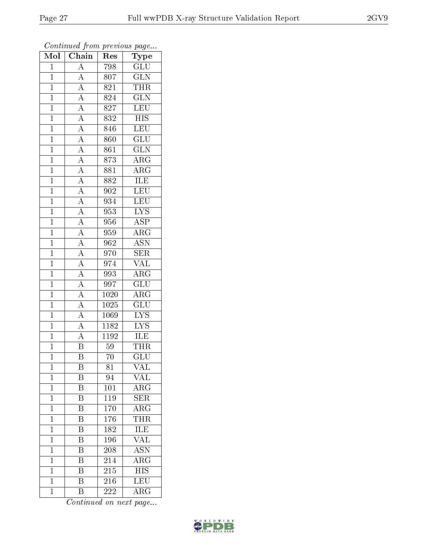| $\overline{\text{Mol}}$ | $\boldsymbol{\mathcal{L}}$<br>Chain                                                                                                                                                                                                                                                                         | Res              | $\mathbf{r}$<br>$\cdot$<br>Type |
|-------------------------|-------------------------------------------------------------------------------------------------------------------------------------------------------------------------------------------------------------------------------------------------------------------------------------------------------------|------------------|---------------------------------|
| $\overline{1}$          | $\overline{A}$                                                                                                                                                                                                                                                                                              | 798              | GLU                             |
| $\overline{1}$          | $\overline{A}$                                                                                                                                                                                                                                                                                              | 807              | $\overline{\text{GLN}}$         |
| $\overline{1}$          | $\overline{A}$                                                                                                                                                                                                                                                                                              | 821              | THR                             |
| $\mathbf{1}$            | $\overline{A}$                                                                                                                                                                                                                                                                                              | 824              | $\overline{\text{GLN}}$         |
| $\overline{1}$          | $\frac{\overline{A}}{\overline{A}}$                                                                                                                                                                                                                                                                         | 827              | LEU                             |
| $\overline{1}$          |                                                                                                                                                                                                                                                                                                             | 832              | $\overline{\mathrm{HIS}}$       |
| $\overline{1}$          |                                                                                                                                                                                                                                                                                                             | 846              | $\overline{\text{LEU}}$         |
| $\mathbf{1}$            |                                                                                                                                                                                                                                                                                                             | 860              | $\overline{\text{GLU}}$         |
| $\mathbf{1}$            |                                                                                                                                                                                                                                                                                                             | 861              | <b>GLN</b>                      |
| $\overline{1}$          |                                                                                                                                                                                                                                                                                                             | 873              | $\overline{\rm{ARG}}$           |
| $\mathbf{1}$            |                                                                                                                                                                                                                                                                                                             | 881              | $\rm{ARG}$                      |
| $\overline{1}$          |                                                                                                                                                                                                                                                                                                             | 882              | ILE                             |
| $\overline{1}$          |                                                                                                                                                                                                                                                                                                             | 902              | LEU                             |
| $\mathbf{1}$            | $\frac{\overline{A}}{\overline{A}}\frac{\overline{A}}{\overline{A}}\frac{\overline{A}}{\overline{A}}\frac{\overline{A}}{\overline{A}}\frac{\overline{A}}{\overline{A}}\frac{\overline{A}}{\overline{A}}\frac{\overline{A}}{\overline{A}}\frac{\overline{A}}{\overline{A}}\frac{\overline{A}}{\overline{A}}$ | 934              | LEU                             |
| $\mathbf{1}$            |                                                                                                                                                                                                                                                                                                             | 953              | $\overline{\text{LYS}}$         |
| $\overline{1}$          |                                                                                                                                                                                                                                                                                                             | 956              | <b>ASP</b>                      |
| $\overline{1}$          |                                                                                                                                                                                                                                                                                                             | 959              | $\overline{\rm{ARG}}$           |
| $\overline{1}$          |                                                                                                                                                                                                                                                                                                             | 962              | <b>ASN</b>                      |
| $\mathbf{1}$            |                                                                                                                                                                                                                                                                                                             | 970              | $\overline{\text{SER}}$         |
| $\overline{1}$          |                                                                                                                                                                                                                                                                                                             | 974              | $\overline{\text{VAL}}$         |
| $\mathbf{1}$            |                                                                                                                                                                                                                                                                                                             | 993              | $\overline{\rm{ARG}}$           |
| $\overline{1}$          |                                                                                                                                                                                                                                                                                                             | 997              | $\overline{\text{GLU}}$         |
| $\mathbf 1$             |                                                                                                                                                                                                                                                                                                             | 1020             | $\overline{\text{ARG}}$         |
| $\overline{1}$          | $\overline{A}$                                                                                                                                                                                                                                                                                              | 1025             | $\overline{\text{GLU}}$         |
| $\mathbf{1}$            | $\overline{A}$                                                                                                                                                                                                                                                                                              | 1069             | $\overline{\text{LYS}}$         |
| $\overline{1}$          | $\frac{\overline{A}}{\overline{A}}$                                                                                                                                                                                                                                                                         | 1182             | <b>LYS</b>                      |
| $\mathbf{1}$            |                                                                                                                                                                                                                                                                                                             | 1192             | ILE                             |
| $\mathbf{1}$            |                                                                                                                                                                                                                                                                                                             | $59\,$           | <b>THR</b>                      |
| $\overline{1}$          | $\overline{\mathrm{B}}$                                                                                                                                                                                                                                                                                     | 70               | $\overline{\text{GLU}}$         |
| 1                       | Β                                                                                                                                                                                                                                                                                                           | 81               | VAL                             |
| $\mathbf{1}$            | B                                                                                                                                                                                                                                                                                                           | 94               | $\rm V\overline{AL}$            |
| $\overline{1}$          | $\overline{\mathrm{B}}$                                                                                                                                                                                                                                                                                     | 101              | ARG                             |
| $\mathbf 1$             | Β                                                                                                                                                                                                                                                                                                           | 119              | <b>SER</b>                      |
| $\mathbf 1$             | $\overline{\mathrm{B}}$                                                                                                                                                                                                                                                                                     | 170              | $\overline{\rm{ARG}}$           |
| $\mathbf 1$             | Β                                                                                                                                                                                                                                                                                                           | 176              | <b>THR</b>                      |
| $\mathbf 1$             | $\overline{\mathrm{B}}$                                                                                                                                                                                                                                                                                     | $\overline{182}$ | <b>ILE</b>                      |
| $\mathbf 1$             | $\overline{\mathrm{B}}$                                                                                                                                                                                                                                                                                     | 196              | $\overline{\text{VAL}}$         |
| $\overline{1}$          | $\overline{\rm B}$                                                                                                                                                                                                                                                                                          | 208              | <b>ASN</b>                      |
| $\mathbf{1}$            | $\overline{\mathrm{B}}$                                                                                                                                                                                                                                                                                     | 214              | $\overline{\rm{ARG}}$           |
| $\overline{1}$          | B                                                                                                                                                                                                                                                                                                           | 215              | $\overline{HIS}$                |
| $\mathbf 1$             | $\overline{\mathrm{B}}$                                                                                                                                                                                                                                                                                     | 216              | $\overline{\text{LEU}}$         |
| $\mathbf 1$             | $\overline{B}$                                                                                                                                                                                                                                                                                              | 222              | $\rm{ARG}$                      |

Continued from previous page...

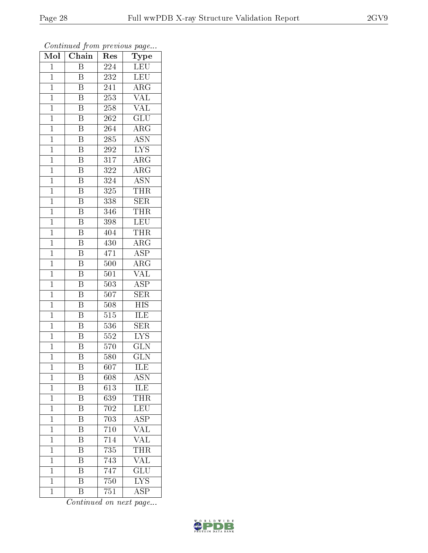| Mol            | $\boldsymbol{\mathsf{u}}$<br>$\overline{\text{Chain}}$ | Res              | $\overline{ }$<br>$\cdot$<br>Type |
|----------------|--------------------------------------------------------|------------------|-----------------------------------|
| $\mathbf{1}$   | $\overline{B}$                                         | 224              | LEU                               |
| $\mathbf{1}$   | B                                                      | 232              | LEU                               |
| $\overline{1}$ | Β                                                      | 241              | $\rm{ARG}$                        |
| $\mathbf{1}$   | B                                                      | $253\,$          | $\overline{\text{VAL}}$           |
| $\overline{1}$ | $\overline{\mathrm{B}}$                                | 258              | <b>VAL</b>                        |
| $\mathbf 1$    | $\overline{\mathrm{B}}$                                | 262              | $\overline{\text{GLU}}$           |
| $\overline{1}$ | $\overline{\text{B}}$                                  | 264              | $\rm{ARG}$                        |
| $\mathbf{1}$   | $\overline{\mathbf{B}}$                                | $285\,$          | $\overline{\text{ASN}}$           |
| $\mathbf{1}$   | $\overline{\mathrm{B}}$                                | $29\sqrt{2}$     | $\overline{\text{LYS}}$           |
| $\mathbf{1}$   | $\overline{\mathrm{B}}$                                | $\overline{317}$ | $\overline{\rm{ARG}}$             |
| $\mathbf{1}$   | $\boldsymbol{B}$                                       | 322              | $\rm{ARG}$                        |
| $\overline{1}$ | $\overline{\mathrm{B}}$                                | 324              | $\overline{\mathrm{ASN}}$         |
| $\overline{1}$ | $\, {\bf B}$                                           | 325              | <b>THR</b>                        |
| $\mathbf{1}$   | Β                                                      | 338              | <b>SER</b>                        |
| $\mathbf{1}$   | $\overline{\mathrm{B}}$                                | 346              | <b>THR</b>                        |
| $\overline{1}$ | Β                                                      | 398              | LEU                               |
| $\overline{1}$ | $\overline{\mathrm{B}}$                                | 404              | <b>THR</b>                        |
| $\mathbf{1}$   | B                                                      | 430              | $\overline{\rm ARG}$              |
| $\mathbf{1}$   | $\boldsymbol{B}$                                       | $47\overline{1}$ | <b>ASP</b>                        |
| $\overline{1}$ | $\overline{\mathrm{B}}$                                | 500              | $\overline{\text{ARG}}$           |
| $\mathbf{1}$   | $\boldsymbol{B}$                                       | 501              | $\overline{\text{VAL}}$           |
| $\overline{1}$ | $\overline{\mathrm{B}}$                                | 503              | $\overline{\text{ASP}}$           |
| $\mathbf 1$    | B                                                      | 507              | $\overline{\text{SER}}$           |
| $\mathbf{1}$   | $\overline{\mathrm{B}}$                                | 508              | $\overline{HIS}$                  |
| $\mathbf{1}$   | $\overline{\mathbf{B}}$                                | 515              | ILE                               |
| $\overline{1}$ | $\overline{\mathrm{B}}$                                | 536              | <b>SER</b>                        |
| $\mathbf{1}$   | $\overline{\mathrm{B}}$                                | $\overline{5}52$ | $\overline{\text{LYS}}$           |
| $\mathbf{1}$   | $\overline{\mathrm{B}}$                                | 570              | $\overline{\text{GLN}}$           |
| $\mathbf 1$    | $\overline{\mathrm{B}}$                                | 580              | $\overline{\text{GLN}}$           |
| $\mathbf 1$    | Β                                                      | 607              | $\overline{\text{ILE}}$           |
| $\mathbf{1}$   | Β                                                      | 608              | $\overline{\mathrm{ASN}}$         |
| $\mathbf{1}$   | $\overline{\mathrm{B}}$                                | $\overline{613}$ | ILE                               |
| $\mathbf 1$    | Β                                                      | 639              | <b>THR</b>                        |
| $\mathbf 1$    | $\overline{\mathrm{B}}$                                | 702              | $\overline{\text{LEU}}$           |
| $\mathbf{1}$   | Β                                                      | 703              | $\overline{\rm ASP}$              |
| $\mathbf 1$    | $\overline{\mathrm{B}}$                                | 710              | $\overline{\text{VAL}}$           |
| $\mathbf 1$    | Β                                                      | 714              | $\overline{\text{VAL}}$           |
| $\mathbf 1$    | B                                                      | 735              | $T\bar{H}\bar{R}$                 |
| $\mathbf 1$    | $\overline{\mathrm{B}}$                                | 743              | $\overline{\text{VAL}}$           |
| $\overline{1}$ | B                                                      | 747              | $\overline{\mathrm{GLU}}$         |
| $\overline{1}$ | Β                                                      | 750              | $\overline{\text{LYS}}$           |
| $\mathbf 1$    | Β                                                      | 751              | <b>ASP</b>                        |

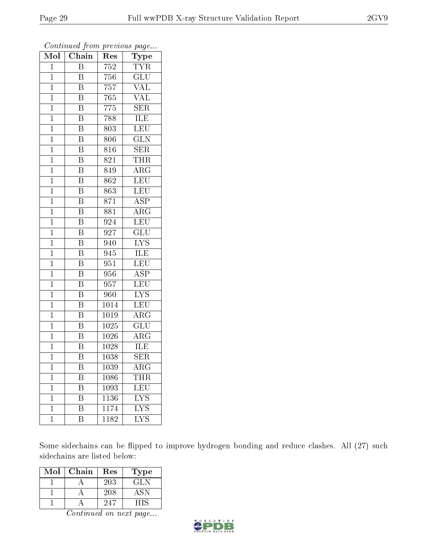| Mol            | Chain                   | Res                | Type                      |
|----------------|-------------------------|--------------------|---------------------------|
| $\mathbf{1}$   | $\overline{\mathrm{B}}$ | 752                | <b>TYR</b>                |
| $\overline{1}$ | Β                       | 756                | GLU                       |
| $\overline{1}$ | $\overline{\mathrm{B}}$ | 757                | $\rm \overline{VAL}$      |
| $\mathbf 1$    | B                       | 765                | $\text{VAL}$              |
| $\mathbf 1$    | $\overline{\mathrm{B}}$ | 775                | $\overline{\text{SER}}$   |
| $\mathbf{1}$   | B                       | 788                | ILE                       |
| $\overline{1}$ | $\overline{\mathrm{B}}$ | $80\overline{3}$   | $\overline{\textrm{LEU}}$ |
| $\mathbf 1$    | $\overline{\mathrm{B}}$ | 806                | $\overline{\text{GLN}}$   |
| $\mathbf 1$    | $\overline{\mathrm{B}}$ | 816                | $\overline{\text{SER}}$   |
| $\mathbf{1}$   | $\overline{\mathrm{B}}$ | 821                | <b>THR</b>                |
| $\overline{1}$ | $\overline{\mathrm{B}}$ | 849                | $\rm{ARG}$                |
| $\overline{1}$ | $\overline{\mathrm{B}}$ | 862                | LEU                       |
| $\mathbf{1}$   | $\overline{\mathrm{B}}$ | 863                | <b>LEU</b>                |
| $\mathbf{1}$   | $\overline{\mathrm{B}}$ | 871                | <b>ASP</b>                |
| $\mathbf 1$    | $\overline{\mathrm{B}}$ | 881                | $\overline{\rm{ARG}}$     |
| $\mathbf{1}$   | $\overline{\mathrm{B}}$ | 924                | LEU                       |
| $\mathbf{1}$   | $\overline{\mathrm{B}}$ | 927                | $\overline{\mathrm{GLU}}$ |
| $\mathbf{1}$   | $\overline{\mathrm{B}}$ | 940                | <b>LYS</b>                |
| $\mathbf 1$    | B                       | 945                | ILE                       |
| $\mathbf 1$    | $\overline{\mathrm{B}}$ | 951                | <b>LEU</b>                |
| $\mathbf{1}$   | B                       | 956                | <b>ASP</b>                |
| $\overline{1}$ | $\overline{\mathrm{B}}$ | 957                | $\overline{\text{LEU}}$   |
| $\mathbf{1}$   | B                       | 960                | <b>LYS</b>                |
| $\mathbf 1$    | $\overline{\mathrm{B}}$ | 1014               | $\overline{\text{LEU}}$   |
| $\mathbf 1$    | $\overline{\mathrm{B}}$ | 1019               | $\overline{\rm{ARG}}$     |
| $\overline{1}$ | $\overline{\mathrm{B}}$ | 1025               | $\overline{\text{GLU}}$   |
| $\mathbf{1}$   | $\overline{\mathrm{B}}$ | $\overline{10}26$  | $\overline{\rm{ARG}}$     |
| $\overline{1}$ | $\overline{\mathrm{B}}$ | 1028               | $\overline{\text{ILE}}$   |
| $\mathbf 1$    | $\overline{\mathrm{B}}$ | 1038               | $\overline{\text{SER}}$   |
| 1              | Β                       | 1039               | ${\rm ARG}$               |
| $\mathbf 1$    | Β                       | 1086               | THR                       |
| $\mathbf 1$    | Β                       | 1093               | $\overline{\text{LEU}}$   |
| $\mathbf 1$    | $\overline{\mathrm{B}}$ | 1136               | <b>LYS</b>                |
| $\mathbf 1$    | B                       | 1174               | $\overline{\text{LYS}}$   |
| $\mathbf{1}$   | $\rm \bar{B}$           | $\overline{1}$ 182 | $\overline{\text{LYS}}$   |

Continued from previous page...

Some sidechains can be flipped to improve hydrogen bonding and reduce clashes. All (27) such sidechains are listed below:

| $\operatorname{Mol}$ | Chain | Res | Type |
|----------------------|-------|-----|------|
|                      |       | 203 | GLN  |
|                      |       | 208 | ASN  |
|                      |       |     |      |

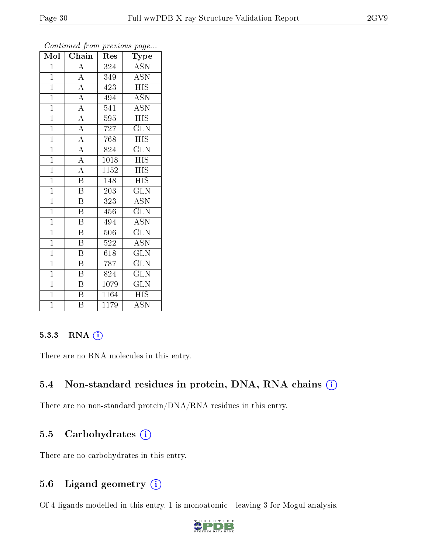| $\overline{\text{Mol}}$ | Chain                   | Res              | Type                      |
|-------------------------|-------------------------|------------------|---------------------------|
| $\overline{1}$          | $\overline{A}$          | 324              | <b>ASN</b>                |
| $\overline{1}$          | $\overline{A}$          | 349              | $\overline{\text{ASN}}$   |
| $\mathbf{1}$            | $\overline{A}$          | 423              | <b>HIS</b>                |
| $\mathbf{1}$            | $\overline{A}$          | 494              | $\overline{\text{ASN}}$   |
| $\overline{1}$          | $\overline{A}$          | $\overline{541}$ | $\overline{\mathrm{ASN}}$ |
| $\mathbf{1}$            | $\overline{A}$          | 595              | <b>HIS</b>                |
| $\mathbf{1}$            | $\overline{A}$          | 727              | <b>GLN</b>                |
| $\mathbf{1}$            | $\overline{A}$          | 768              | <b>HIS</b>                |
| $\mathbf{1}$            | $\overline{A}$          | 824              | <b>GLN</b>                |
| $\overline{1}$          | $\overline{A}$          | 1018             | <b>HIS</b>                |
| $\mathbf{1}$            | $\overline{A}$          | 1152             | <b>HIS</b>                |
| $\mathbf{1}$            | $\overline{\mathrm{B}}$ | 148              | <b>HIS</b>                |
| $\mathbf{1}$            | $\overline{\mathrm{B}}$ | 203              | <b>GLN</b>                |
| $\mathbf{1}$            | B                       | 323              | ASN                       |
| $\overline{1}$          | $\overline{\mathrm{B}}$ | $45\overline{6}$ | $\overline{\text{GLN}}$   |
| $\mathbf{1}$            | $\overline{\mathrm{B}}$ | 494              | <b>ASN</b>                |
| $\overline{1}$          | $\overline{\mathrm{B}}$ | 506              | $\overline{\text{GLN}}$   |
| $\mathbf{1}$            | $\, {\bf B}$            | 522              | <b>ASN</b>                |
| $\overline{1}$          | $\overline{\mathrm{B}}$ | 618              | <b>GLN</b>                |
| $\overline{1}$          | $\overline{\mathrm{B}}$ | 787              | GLN                       |
| $\overline{1}$          | $\overline{\mathrm{B}}$ | 824              | $\overline{\text{GLN}}$   |
| $\overline{1}$          | $\overline{\mathrm{B}}$ | 1079             | $\overline{\text{GLN}}$   |
| $\mathbf{1}$            | $\overline{\mathrm{B}}$ | 1164             | <b>HIS</b>                |
| $\overline{1}$          | $\overline{\mathrm{B}}$ | 1179             | $\overline{\mathrm{ASN}}$ |

#### 5.3.3 RNA [O](https://www.wwpdb.org/validation/2017/XrayValidationReportHelp#rna)i

There are no RNA molecules in this entry.

### 5.4 Non-standard residues in protein, DNA, RNA chains (i)

There are no non-standard protein/DNA/RNA residues in this entry.

#### 5.5 Carbohydrates  $(i)$

There are no carbohydrates in this entry.

### 5.6 Ligand geometry  $(i)$

Of 4 ligands modelled in this entry, 1 is monoatomic - leaving 3 for Mogul analysis.

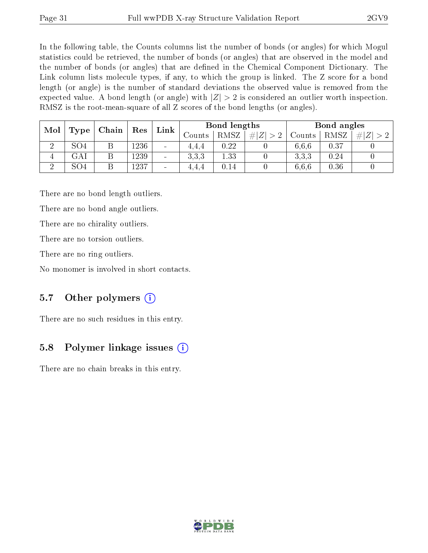In the following table, the Counts columns list the number of bonds (or angles) for which Mogul statistics could be retrieved, the number of bonds (or angles) that are observed in the model and the number of bonds (or angles) that are dened in the Chemical Component Dictionary. The Link column lists molecule types, if any, to which the group is linked. The Z score for a bond length (or angle) is the number of standard deviations the observed value is removed from the expected value. A bond length (or angle) with  $|Z| > 2$  is considered an outlier worth inspection. RMSZ is the root-mean-square of all Z scores of the bond lengths (or angles).

| Mol      |      | Chain |      | Link   |        | Bond lengths |                     |        | Bond angles |                    |
|----------|------|-------|------|--------|--------|--------------|---------------------|--------|-------------|--------------------|
|          | Type |       | Res  |        | Counts | RMSZ         | $\# Z $<br>$\sim$ 0 | Counts | RMSZ        | # Z <br>$\Omega$ . |
| $\Omega$ | SO4  | D     | 1236 | $\sim$ | 4.4.4  | 0.22         |                     | 6.6.6  | 0.37        |                    |
|          | GAI  | Β     | 239  | $\sim$ | 3,3,3  | 1.33         |                     | 3.3.3  | 0.24        |                    |
| ച        | SO4  | D     | 1237 | $\sim$ | 4.4.4  | $0.14\,$     |                     | 6,6,6  | 0.36        |                    |

There are no bond length outliers.

There are no bond angle outliers.

There are no chirality outliers.

There are no torsion outliers.

There are no ring outliers.

No monomer is involved in short contacts.

### 5.7 [O](https://www.wwpdb.org/validation/2017/XrayValidationReportHelp#nonstandard_residues_and_ligands)ther polymers  $(i)$

There are no such residues in this entry.

### 5.8 Polymer linkage issues  $(i)$

There are no chain breaks in this entry.

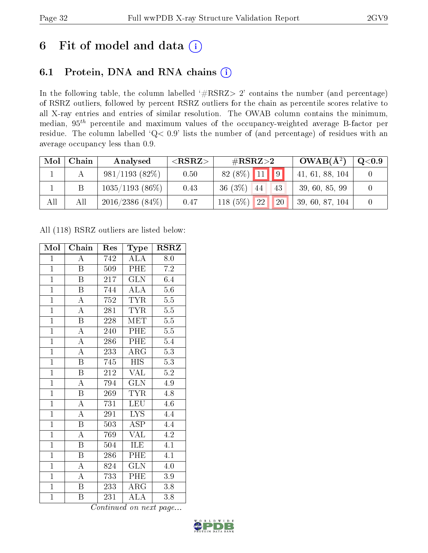# 6 Fit of model and data  $(i)$

### 6.1 Protein, DNA and RNA chains  $(i)$

In the following table, the column labelled  $#RSRZ> 2'$  contains the number (and percentage) of RSRZ outliers, followed by percent RSRZ outliers for the chain as percentile scores relative to all X-ray entries and entries of similar resolution. The OWAB column contains the minimum, median,  $95<sup>th</sup>$  percentile and maximum values of the occupancy-weighted average B-factor per residue. The column labelled ' $Q< 0.9$ ' lists the number of (and percentage) of residues with an average occupancy less than 0.9.

| $\text{Mol}$ | Chain | Analysed           | ${ <\hspace{-1.5pt}{\mathrm{RSRZ}} \hspace{-1.5pt}>}$ | $\#\text{RSRZ}{>}2$           | $OWAB(A^2)$     | Q <sub>0.9</sub> |
|--------------|-------|--------------------|-------------------------------------------------------|-------------------------------|-----------------|------------------|
|              |       | $981/1193(82\%)$   | 0.50                                                  | $82(8\%)$ 11 9                | 41, 61, 88, 104 |                  |
|              |       | $1035/1193$ (86\%) | 0.43                                                  | 36(3%)<br>43<br>44            | 39, 60, 85, 99  |                  |
| All          | Αll   | $2016/2386$ (84\%) | 0.47                                                  | 118 $(5%)$<br><b>22</b><br>20 | 39, 60, 87, 104 |                  |

All (118) RSRZ outliers are listed below:

| Mol            | Chain                   | Res              | Type                    | <b>RSRZ</b>      |
|----------------|-------------------------|------------------|-------------------------|------------------|
| $\mathbf{1}$   | Ā                       | 742              | <b>ALA</b>              | 8.0              |
| $\overline{1}$ | B                       | 509              | PHE                     | $7.2\,$          |
| $\overline{1}$ | B                       | 217              | $\rm G\overline{LN}$    | 6.4              |
| $\overline{1}$ | B                       | 744              | <b>ALA</b>              | 5.6              |
| $\overline{1}$ | $\overline{\rm A}$      | 752              | <b>TYR</b>              | $\overline{5.5}$ |
| $\overline{1}$ | $\overline{\rm A}$      | 281              | TYR                     | $\overline{5.5}$ |
| $\overline{1}$ | $\overline{\mathrm{B}}$ | 228              | MET                     | $\overline{5.5}$ |
| $\overline{1}$ | $\overline{\rm A}$      | 240              | PHE                     | $\overline{5.5}$ |
| $\overline{1}$ | $\overline{\rm A}$      | 286              | PHE                     | 5.4              |
| $\overline{1}$ | $\overline{\rm A}$      | 233              | $\overline{\rm{ARG}}$   | $\overline{5.3}$ |
| $\overline{1}$ | $\overline{\mathrm{B}}$ | 745              | <b>HIS</b>              | 5.3              |
| $\overline{1}$ | $\overline{\mathrm{B}}$ | $2\overline{12}$ | $\overline{\text{VAL}}$ | $\overline{5.2}$ |
| $\overline{1}$ | $\overline{\rm A}$      | 794              | <b>GLN</b>              | 4.9              |
| $\overline{1}$ | $\mathbf B$             | 269              | <b>TYR</b>              | 4.8              |
| $\overline{1}$ | $\overline{\rm A}$      | $\overline{731}$ | <b>LEU</b>              | 4.6              |
| $\overline{1}$ | $\overline{\rm A}$      | 291              | <b>LYS</b>              | 4.4              |
| $\overline{1}$ | $\overline{\mathrm{B}}$ | 503              | $\overline{\text{ASP}}$ | 4.4              |
| $\overline{1}$ | $\boldsymbol{A}$        | 769              | VAL                     | 4.2              |
| $\overline{1}$ | $\boldsymbol{B}$        | 504              | ILE                     | 4.1              |
| $\mathbf{1}$   | B                       | 286              | PHE                     | 4.1              |
| $\overline{1}$ | $\boldsymbol{A}$        | 824              | <b>GLN</b>              | 4.0              |
| $\overline{1}$ | $\overline{\rm A}$      | 733              | PHE                     | 3.9              |
| $\mathbf{1}$   | B                       | 233              | $\rm{ARG}$              | 3.8              |
| $\overline{1}$ | Β                       | 231              | <b>ALA</b>              | 3.8              |

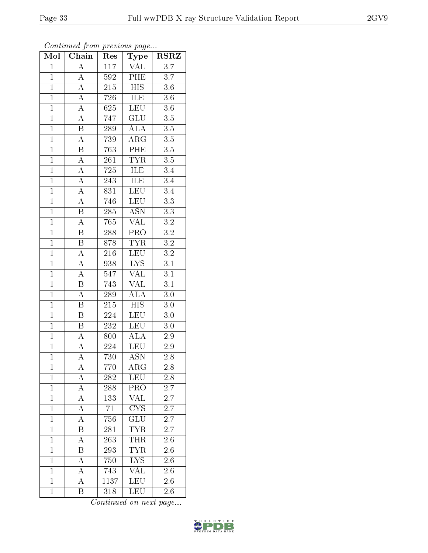| Mol            | Chain                   | Res              | Type                      | $_{\rm RSRZ}$    |
|----------------|-------------------------|------------------|---------------------------|------------------|
| $\mathbf{1}$   | $\overline{\rm A}$      | 117              | <b>VAL</b>                | $\overline{3.7}$ |
| $\mathbf{1}$   | $\boldsymbol{A}$        | 592              | PHE                       | 3.7              |
| $\overline{1}$ | $\overline{A}$          | 215              | $\overline{\mathrm{HIS}}$ | $\overline{3.6}$ |
| $\overline{1}$ | $\overline{A}$          | 726              | ILE                       | $3.6\,$          |
| $\overline{1}$ | $\overline{A}$          | 625              | <b>LEU</b>                | $\overline{3.6}$ |
| $\mathbf{1}$   | $\overline{A}$          | 747              | GLU                       | $3.5\,$          |
| $\overline{1}$ | $\overline{\mathrm{B}}$ | 289              | <b>ALA</b>                | $\overline{3.5}$ |
| $\overline{1}$ | $\overline{\rm A}$      | 739              | $\overline{\rm ARG}$      | 3.5              |
| $\overline{1}$ | $\boldsymbol{B}$        | $\overline{763}$ | PHE                       | $\overline{3.5}$ |
| $\overline{1}$ | $\overline{A}$          | $26\sqrt{1}$     | <b>TYR</b>                | $\overline{3.5}$ |
| $\overline{1}$ | $\overline{\rm A}$      | 725              | ILE                       | $\overline{3.4}$ |
| $\overline{1}$ | $\overline{\rm A}$      | 243              | <b>ILE</b>                | $\overline{3.4}$ |
| $\overline{1}$ | A                       | $\overline{831}$ | <b>LEU</b>                | $\overline{3.4}$ |
| $\overline{1}$ | $\overline{\rm A}$      | 746              | <b>LEU</b>                | $\overline{3.3}$ |
| $\overline{1}$ | $\overline{\mathrm{B}}$ | 285              | $\overline{\text{ASN}}$   | $\overline{3.3}$ |
| $\mathbf{1}$   | $\boldsymbol{A}$        | 765              | <b>VAL</b>                | $\overline{3.2}$ |
| $\mathbf{1}$   | $\overline{\mathrm{B}}$ | 288              | PRO                       | $\overline{3.2}$ |
| $\mathbf{1}$   | $\, {\bf B}$            | 878              | <b>TYR</b>                | $\overline{3.2}$ |
| $\overline{1}$ | $\overline{\rm A}$      | 216              | LEU                       | $\overline{3.2}$ |
| $\overline{1}$ | $\overline{\rm A}$      | 938              | $\overline{\text{LYS}}$   | $\overline{3.1}$ |
| $\mathbf{1}$   | $\overline{A}$          | 547              | VAL                       | $\overline{3.1}$ |
| $\overline{1}$ | $\overline{\mathrm{B}}$ | 743              | $\overline{\text{VAL}}$   | $\overline{3.1}$ |
| $\overline{1}$ | $\overline{\rm A}$      | 289              | <b>ALA</b>                | $3.0\,$          |
| $\overline{1}$ | $\overline{\mathrm{B}}$ | $\overline{215}$ | $\overline{\text{HIS}}$   | $\overline{3.0}$ |
| $\mathbf{1}$   | Β                       | 224              | $\overline{\text{LEU}}$   | $3.0\,$          |
| $\overline{1}$ | $\boldsymbol{B}$        | 232              | <b>LEU</b>                | $\overline{3}.0$ |
| $\overline{1}$ | $\overline{A}$          | 800              | $\overline{\text{ALA}}$   | 2.9              |
| $\overline{1}$ | А                       | 224              | $\overline{\text{LEU}}$   | $\overline{2.9}$ |
| $\overline{1}$ | $\overline{\rm A}$      | 730              | $\overline{\text{ASN}}$   | 2.8              |
| 1              | А                       | 770              | $\rm{ARG}$                | 2.8              |
| $\mathbf{1}$   | A                       | 282              | <b>LEU</b>                | 2.8              |
| $\mathbf{1}$   | А                       | 288              | PRO                       | $2.\overline{7}$ |
| $\mathbf{1}$   | А                       | 133              | <b>VAL</b>                | 2.7              |
| $\overline{1}$ | А                       | 71               | $\overline{\text{CYS}}$   | 2.7              |
| $\mathbf 1$    | А                       | 756              | GLU                       | 2.7              |
| $\mathbf{1}$   | B                       | 281              | $TY\overline{R}$          | 2.7              |
| $\mathbf{1}$   | A                       | 263              | <b>THR</b>                | 2.6              |
| $\mathbf{1}$   | Β                       | 293              | <b>TYR</b>                | 2.6              |
| $\mathbf{1}$   | А                       | 750              | $\overline{\text{LYS}}$   | 2.6              |
| $\mathbf 1$    | А                       | 743              | VAL                       | 2.6              |
| $\mathbf{1}$   | А                       | 1137             | LEU                       | $2.\bar{6}$      |
| $\mathbf{1}$   | Β                       | 318              | LEU                       | 2.6              |

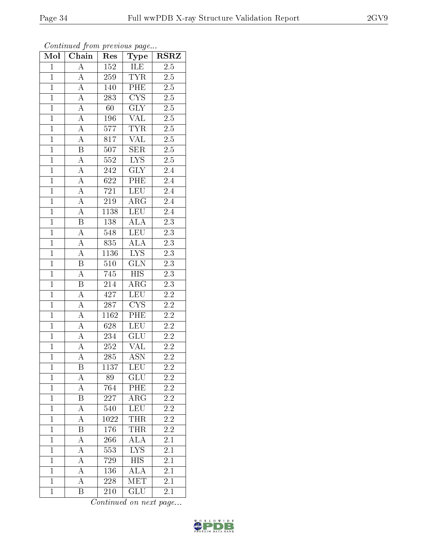| Mol            | Chain                   | Res              | Type                        | <b>RSRZ</b>                          |  |
|----------------|-------------------------|------------------|-----------------------------|--------------------------------------|--|
| $\overline{1}$ | $\overline{A}$          | $\overline{152}$ | ILE                         | $\overline{2.5}$                     |  |
| $\overline{1}$ | $\overline{A}$          | 259              | <b>TYR</b>                  | $2.\overline{5}$                     |  |
| $\overline{1}$ | $\overline{A}$          | 140              | PHE                         | $\overline{2.5}$                     |  |
| $\mathbf{1}$   | $\overline{A}$          | 283              | CYS                         | $2.\overline{5}$                     |  |
| $\overline{1}$ | $\overline{A}$          | 60               | $\overline{\text{GLY}}$     | $\overline{2.5}$<br>$2.\overline{5}$ |  |
| $\overline{1}$ | $\overline{A}$          | 196              | <b>VAL</b>                  |                                      |  |
| $\overline{1}$ | A                       | 577              | <b>TYR</b>                  |                                      |  |
| $\overline{1}$ | $\overline{A}$          | 817              | $\overline{\text{VAL}}$     | $2.\overline{5}$                     |  |
| $\overline{1}$ | $\, {\bf B}$            | 507              | $\overline{\text{SER}}$     | $2.5\,$                              |  |
| $\overline{1}$ | $\overline{A}$          | $552\,$          | $\overline{L}\overline{Y}S$ | $2.5\,$                              |  |
| $\overline{1}$ | $\overline{\rm A}$      | $\overline{242}$ | $\overline{\text{GLY}}$     | 2.4                                  |  |
| $\overline{1}$ | $\overline{A}$          | 622              | PHE                         | $\overline{2.4}$                     |  |
| $\mathbf{1}$   | $\overline{\rm A}$      | $\overline{721}$ | LEU                         | $2.4\,$                              |  |
| $\mathbf{1}$   | $\boldsymbol{A}$        | 219              | $\rm{ARG}$                  | 2.4                                  |  |
| $\overline{1}$ | $\overline{\rm A}$      | 1138             | LEU                         | $\overline{2.4}$                     |  |
| $\overline{1}$ | $\, {\bf B}$            | 138              | <b>ALA</b>                  | $\overline{2.3}$                     |  |
| $\overline{1}$ | $\overline{A}$          | 548              | LEU                         | $\overline{2.3}$                     |  |
| $\mathbf{1}$   | $\overline{A}$          | 835              | ALA                         | $2.3\,$                              |  |
| $\mathbf{1}$   | $\overline{A}$          | 1136             | $\overline{\text{LYS}}$     | $2.3\,$                              |  |
| $\overline{1}$ | $\overline{\mathrm{B}}$ | 510              | $\overline{\text{GLN}}$     | $\overline{2.3}$                     |  |
| $\overline{1}$ | $\overline{\rm A}$      | 745              | <b>HIS</b>                  | 2.3                                  |  |
| $\overline{1}$ | $\overline{\mathrm{B}}$ | 214              | $\overline{\rm{ARG}}$       | $\overline{2.3}$                     |  |
| $\mathbf{1}$   | A                       | 427              | <b>LEU</b>                  | $2.2\,$                              |  |
| $\overline{1}$ | $\overline{\rm A}$      | $\overline{287}$ | $\overline{\text{CYS}}$     | $\overline{2.2}$                     |  |
| $\overline{1}$ | $\overline{\rm A}$      | 1162             | PHE                         | $2.2\,$                              |  |
| $\overline{1}$ | $\boldsymbol{A}$        | 628              | <b>LEU</b>                  | $\overline{2.2}$                     |  |
| $\overline{1}$ | $\overline{A}$          | 234              | GLU                         | $2.2\,$                              |  |
| $\overline{1}$ | $\overline{A}$          | $252\,$          | $\overline{\text{VAL}}$     | $2.2\,$                              |  |
| $\overline{1}$ | $\overline{\rm A}$      | 285              | $\overline{\mathrm{ASN}}$   | 2.2                                  |  |
| 1              | Β                       | 1137             | LEU                         | 2.2                                  |  |
| $\overline{1}$ | А                       | 89               | $GL\overline{U}$            | 2.2                                  |  |
| $\mathbf 1$    | А                       | 764              | PHE                         | $2.2\,$                              |  |
| $\mathbf 1$    | B                       | 227              | $\rm{ARG}$                  | 2.2                                  |  |
| $\mathbf{1}$   | А                       | 540              | <b>LEU</b>                  | 2.2                                  |  |
| $\mathbf{1}$   | А                       | 1022             | <b>THR</b>                  | 2.2                                  |  |
| $\mathbf{1}$   | B                       | 176              | <b>THR</b>                  | $2.2\,$                              |  |
| $\mathbf{1}$   | $\overline{\rm A}$      | 266              | ALA                         | 2.1                                  |  |
| $\mathbf{1}$   | А                       | 553              | <b>LYS</b>                  | 2.1                                  |  |
| $\mathbf{1}$   | А                       | 729              | $\overline{HIS}$            | 2.1                                  |  |
| $\mathbf{1}$   | $\boldsymbol{A}$        | 136              | $\widehat{\text{ALA}}$      | 2.1                                  |  |
| $\mathbf{1}$   | $\overline{\rm A}$      | 228              | $\overline{\text{MET}}$     | $\overline{2.1}$                     |  |
| 1              | Β                       | 210              | GLU                         | 2.1                                  |  |